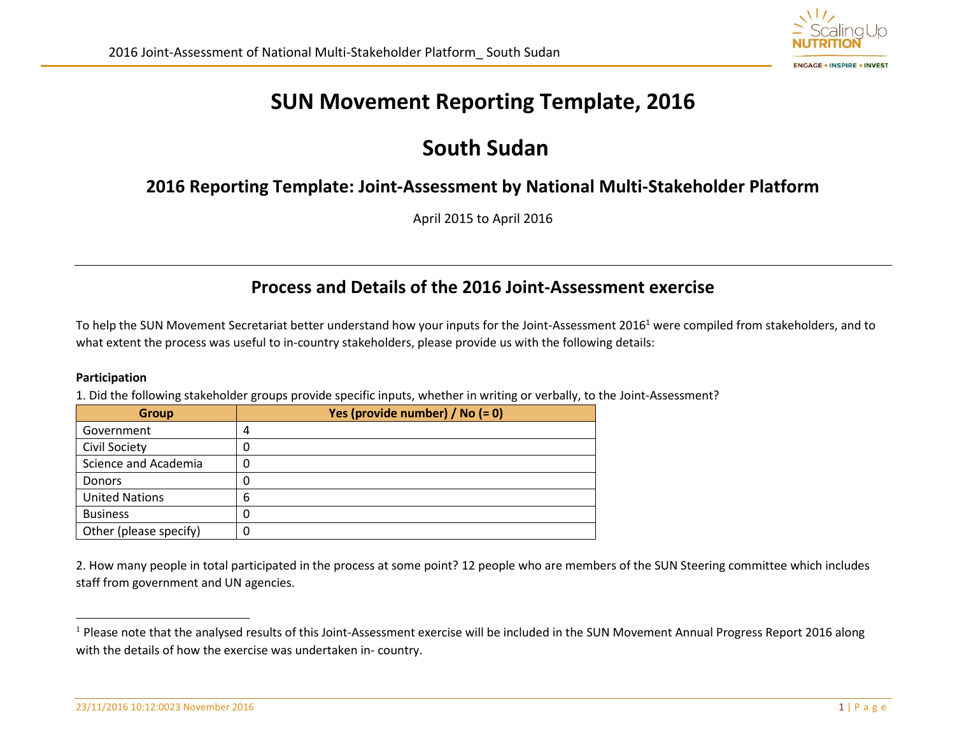

# **SUN Movement Reporting Template, 2016**

# **South Sudan**

# **2016 Reporting Template: Joint-Assessment by National Multi-Stakeholder Platform**

April 2015 to April 2016

# **Process and Details of the 2016 Joint-Assessment exercise**

To help the SUN Movement Secretariat better understand how your inputs for the Joint-Assessment 2016<sup>1</sup> were compiled from stakeholders, and to what extent the process was useful to in-country stakeholders, please provide us with the following details:

#### **Participation**

l

1. Did the following stakeholder groups provide specific inputs, whether in writing or verbally, to the Joint-Assessment?

| <b>Group</b>           | Yes (provide number) / No $(= 0)$ |
|------------------------|-----------------------------------|
| Government             |                                   |
| <b>Civil Society</b>   |                                   |
| Science and Academia   |                                   |
| <b>Donors</b>          |                                   |
| <b>United Nations</b>  | 6                                 |
| <b>Business</b>        |                                   |
| Other (please specify) |                                   |

2. How many people in total participated in the process at some point? 12 people who are members of the SUN Steering committee which includes staff from government and UN agencies.

 $1$  Please note that the analysed results of this Joint-Assessment exercise will be included in the SUN Movement Annual Progress Report 2016 along with the details of how the exercise was undertaken in- country.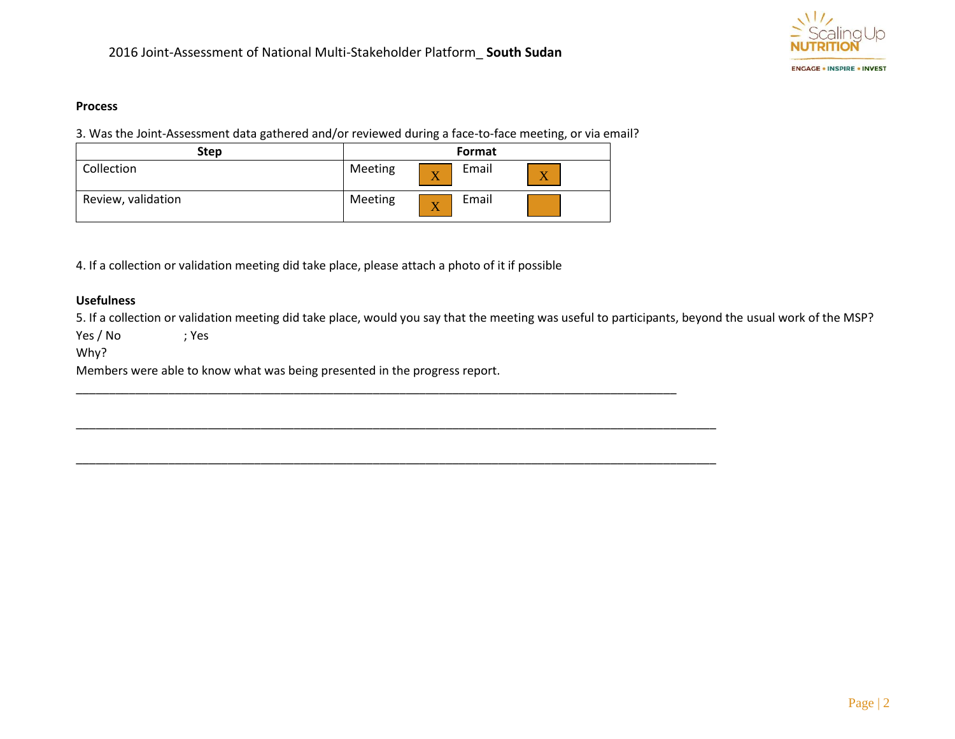

#### **Process**

3. Was the Joint-Assessment data gathered and/or reviewed during a face-to-face meeting, or via email?

\_\_\_\_\_\_\_\_\_\_\_\_\_\_\_\_\_\_\_\_\_\_\_\_\_\_\_\_\_\_\_\_\_\_\_\_\_\_\_\_\_\_\_\_\_\_\_\_\_\_\_\_\_\_\_\_\_\_\_\_\_\_\_\_\_\_\_\_\_\_\_\_\_\_\_\_\_\_\_\_\_\_\_\_\_\_\_\_\_\_\_

\_\_\_\_\_\_\_\_\_\_\_\_\_\_\_\_\_\_\_\_\_\_\_\_\_\_\_\_\_\_\_\_\_\_\_\_\_\_\_\_\_\_\_\_\_\_\_\_\_\_\_\_\_\_\_\_\_\_\_\_\_\_\_\_\_\_\_\_\_\_\_\_\_\_\_\_\_\_\_\_\_\_\_\_\_\_\_\_\_\_\_\_\_\_\_\_\_

\_\_\_\_\_\_\_\_\_\_\_\_\_\_\_\_\_\_\_\_\_\_\_\_\_\_\_\_\_\_\_\_\_\_\_\_\_\_\_\_\_\_\_\_\_\_\_\_\_\_\_\_\_\_\_\_\_\_\_\_\_\_\_\_\_\_\_\_\_\_\_\_\_\_\_\_\_\_\_\_\_\_\_\_\_\_\_\_\_\_\_\_\_\_\_\_\_

| Step               | Format                                                   |
|--------------------|----------------------------------------------------------|
| Collection         | Email<br>Meeting<br>$\overline{\text{X}}$<br>$\mathbf v$ |
| Review, validation | Email<br>Meeting<br>$\overline{X}$                       |

4. If a collection or validation meeting did take place, please attach a photo of it if possible

### **Usefulness**

5. If a collection or validation meeting did take place, would you say that the meeting was useful to participants, beyond the usual work of the MSP? Yes / No  $; Yes$ 

Why?

Members were able to know what was being presented in the progress report.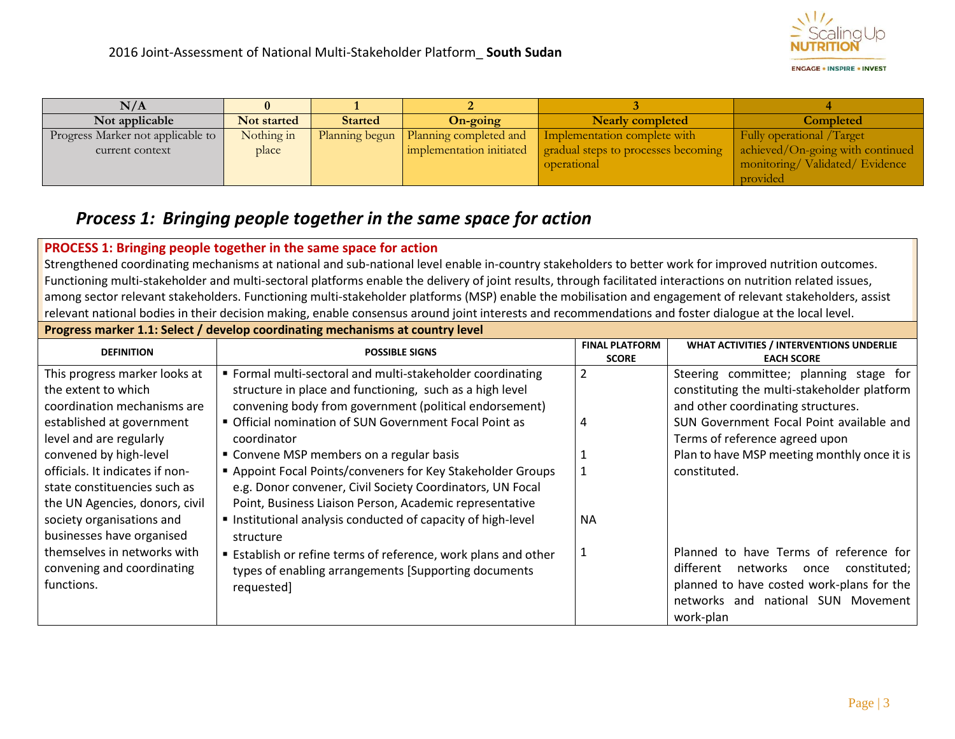

| $\rm N/A$                         |                    |                |                                         |                                     |                                  |
|-----------------------------------|--------------------|----------------|-----------------------------------------|-------------------------------------|----------------------------------|
| Not applicable                    | <b>Not started</b> | <b>Started</b> | On-going                                | <b>Nearly completed</b>             | <b>Completed</b>                 |
| Progress Marker not applicable to | Nothing in         |                | Planning begun   Planning completed and | Implementation complete with        | Fully operational /Target        |
| current context                   | place              |                | implementation initiated                | gradual steps to processes becoming | achieved/On-going with continued |
|                                   |                    |                |                                         | operational                         | monitoring/Validated/Evidence    |
|                                   |                    |                |                                         |                                     | provided                         |

# *Process 1: Bringing people together in the same space for action*

#### **PROCESS 1: Bringing people together in the same space for action**

Strengthened coordinating mechanisms at national and sub-national level enable in-country stakeholders to better work for improved nutrition outcomes. Functioning multi-stakeholder and multi-sectoral platforms enable the delivery of joint results, through facilitated interactions on nutrition related issues, among sector relevant stakeholders. Functioning multi-stakeholder platforms (MSP) enable the mobilisation and engagement of relevant stakeholders, assist relevant national bodies in their decision making, enable consensus around joint interests and recommendations and foster dialogue at the local level. **Progress marker 1.1: Select / develop coordinating mechanisms at country level**

| r rogress marker 1.1. Select / develop coordinating incenditions at country lever                 |                                                                                                                                                                                   |                                       |                                                                                                                                                                                         |
|---------------------------------------------------------------------------------------------------|-----------------------------------------------------------------------------------------------------------------------------------------------------------------------------------|---------------------------------------|-----------------------------------------------------------------------------------------------------------------------------------------------------------------------------------------|
| <b>DEFINITION</b>                                                                                 | <b>POSSIBLE SIGNS</b>                                                                                                                                                             | <b>FINAL PLATFORM</b><br><b>SCORE</b> | WHAT ACTIVITIES / INTERVENTIONS UNDERLIE<br><b>EACH SCORE</b>                                                                                                                           |
| This progress marker looks at<br>the extent to which                                              | " Formal multi-sectoral and multi-stakeholder coordinating<br>structure in place and functioning, such as a high level                                                            | $\overline{2}$                        | Steering committee; planning stage for<br>constituting the multi-stakeholder platform                                                                                                   |
| coordination mechanisms are                                                                       | convening body from government (political endorsement)                                                                                                                            |                                       | and other coordinating structures.                                                                                                                                                      |
| established at government                                                                         | • Official nomination of SUN Government Focal Point as                                                                                                                            | 4                                     | SUN Government Focal Point available and                                                                                                                                                |
| level and are regularly                                                                           | coordinator                                                                                                                                                                       |                                       | Terms of reference agreed upon                                                                                                                                                          |
| convened by high-level                                                                            | • Convene MSP members on a regular basis                                                                                                                                          |                                       | Plan to have MSP meeting monthly once it is                                                                                                                                             |
| officials. It indicates if non-<br>state constituencies such as<br>the UN Agencies, donors, civil | Appoint Focal Points/conveners for Key Stakeholder Groups<br>e.g. Donor convener, Civil Society Coordinators, UN Focal<br>Point, Business Liaison Person, Academic representative |                                       | constituted.                                                                                                                                                                            |
| society organisations and<br>businesses have organised                                            | Institutional analysis conducted of capacity of high-level<br>structure                                                                                                           | <b>NA</b>                             |                                                                                                                                                                                         |
| themselves in networks with<br>convening and coordinating<br>functions.                           | Establish or refine terms of reference, work plans and other<br>types of enabling arrangements [Supporting documents<br>requested]                                                |                                       | Planned to have Terms of reference for<br>different<br>networks<br>constituted;<br>once<br>planned to have costed work-plans for the<br>networks and national SUN Movement<br>work-plan |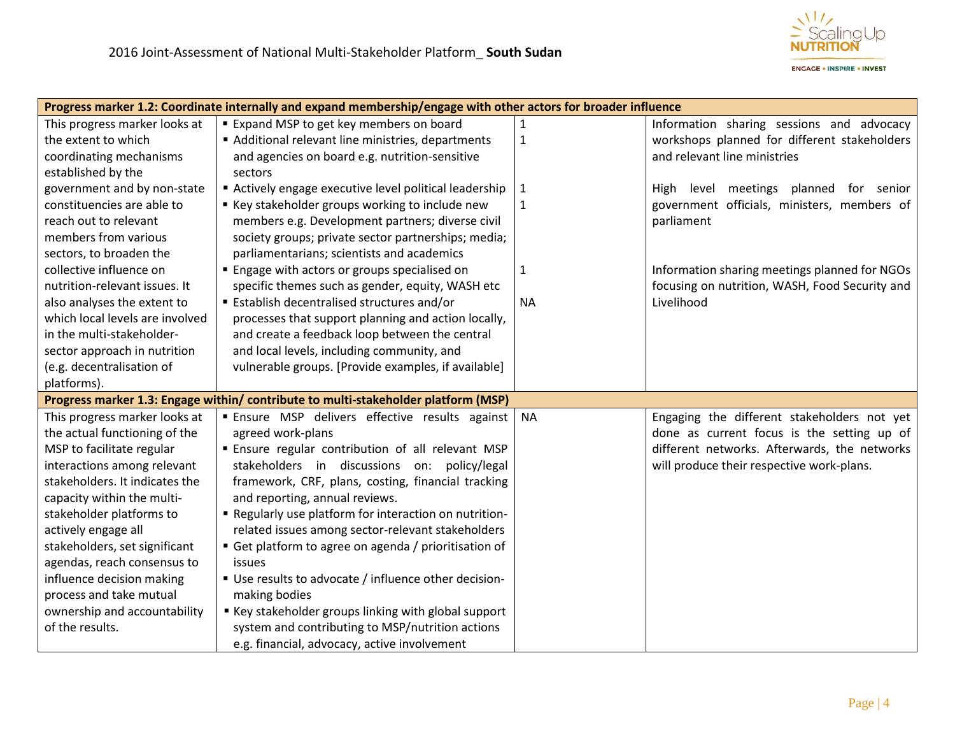

|                                 | Progress marker 1.2: Coordinate internally and expand membership/engage with other actors for broader influence |              |                                                |  |  |
|---------------------------------|-----------------------------------------------------------------------------------------------------------------|--------------|------------------------------------------------|--|--|
| This progress marker looks at   | Expand MSP to get key members on board                                                                          |              | Information sharing sessions and advocacy      |  |  |
| the extent to which             | Additional relevant line ministries, departments                                                                | $\mathbf{1}$ | workshops planned for different stakeholders   |  |  |
| coordinating mechanisms         | and agencies on board e.g. nutrition-sensitive                                                                  |              | and relevant line ministries                   |  |  |
| established by the              | sectors                                                                                                         |              |                                                |  |  |
| government and by non-state     | Actively engage executive level political leadership                                                            | 1            | meetings planned for senior<br>High level      |  |  |
| constituencies are able to      | ■ Key stakeholder groups working to include new                                                                 | 1            | government officials, ministers, members of    |  |  |
| reach out to relevant           | members e.g. Development partners; diverse civil                                                                |              | parliament                                     |  |  |
| members from various            | society groups; private sector partnerships; media;                                                             |              |                                                |  |  |
| sectors, to broaden the         | parliamentarians; scientists and academics                                                                      |              |                                                |  |  |
| collective influence on         | <b>Engage with actors or groups specialised on</b>                                                              | $\mathbf{1}$ | Information sharing meetings planned for NGOs  |  |  |
| nutrition-relevant issues. It   | specific themes such as gender, equity, WASH etc                                                                |              | focusing on nutrition, WASH, Food Security and |  |  |
| also analyses the extent to     | <b>Establish decentralised structures and/or</b>                                                                | <b>NA</b>    | Livelihood                                     |  |  |
| which local levels are involved | processes that support planning and action locally,                                                             |              |                                                |  |  |
| in the multi-stakeholder-       | and create a feedback loop between the central                                                                  |              |                                                |  |  |
| sector approach in nutrition    | and local levels, including community, and                                                                      |              |                                                |  |  |
| (e.g. decentralisation of       | vulnerable groups. [Provide examples, if available]                                                             |              |                                                |  |  |
| platforms).                     |                                                                                                                 |              |                                                |  |  |
|                                 | Progress marker 1.3: Engage within/ contribute to multi-stakeholder platform (MSP)                              |              |                                                |  |  |
| This progress marker looks at   | · Ensure MSP delivers effective results against                                                                 | <b>NA</b>    | Engaging the different stakeholders not yet    |  |  |
| the actual functioning of the   | agreed work-plans                                                                                               |              | done as current focus is the setting up of     |  |  |
| MSP to facilitate regular       | <b>Ensure regular contribution of all relevant MSP</b>                                                          |              | different networks. Afterwards, the networks   |  |  |
| interactions among relevant     | stakeholders in discussions on: policy/legal                                                                    |              | will produce their respective work-plans.      |  |  |
| stakeholders. It indicates the  | framework, CRF, plans, costing, financial tracking                                                              |              |                                                |  |  |
| capacity within the multi-      | and reporting, annual reviews.                                                                                  |              |                                                |  |  |
| stakeholder platforms to        | " Regularly use platform for interaction on nutrition-                                                          |              |                                                |  |  |
| actively engage all             | related issues among sector-relevant stakeholders                                                               |              |                                                |  |  |
| stakeholders, set significant   | Get platform to agree on agenda / prioritisation of                                                             |              |                                                |  |  |
| agendas, reach consensus to     | <b>issues</b>                                                                                                   |              |                                                |  |  |
| influence decision making       | ■ Use results to advocate / influence other decision-                                                           |              |                                                |  |  |
| process and take mutual         | making bodies                                                                                                   |              |                                                |  |  |
| ownership and accountability    | ■ Key stakeholder groups linking with global support                                                            |              |                                                |  |  |
| of the results.                 | system and contributing to MSP/nutrition actions                                                                |              |                                                |  |  |
|                                 | e.g. financial, advocacy, active involvement                                                                    |              |                                                |  |  |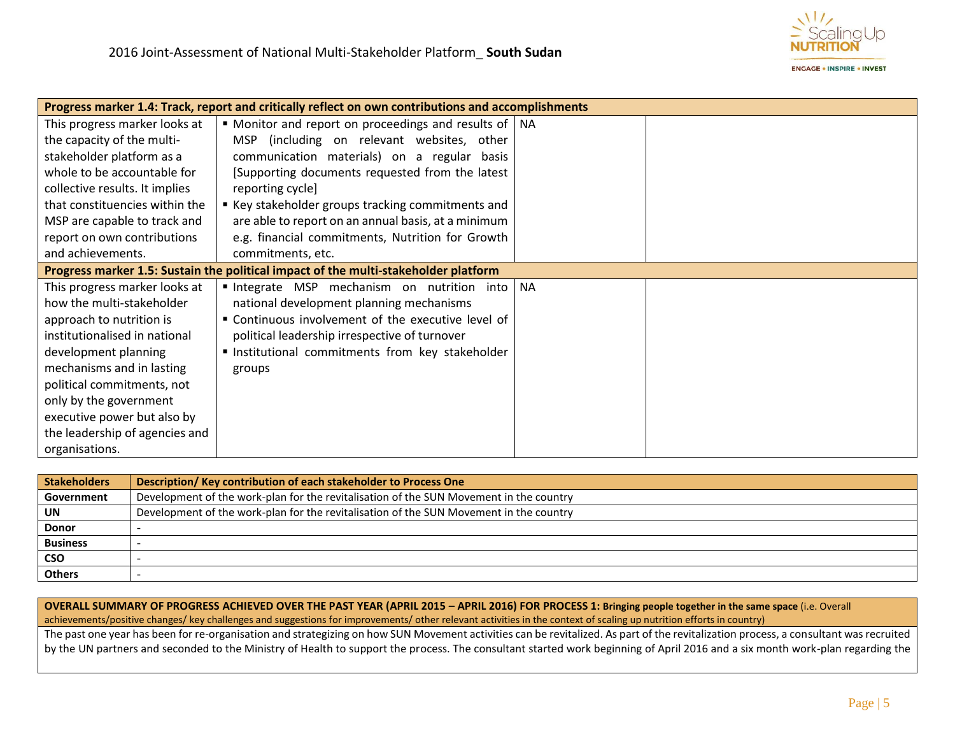

|                                | Progress marker 1.4: Track, report and critically reflect on own contributions and accomplishments |           |  |
|--------------------------------|----------------------------------------------------------------------------------------------------|-----------|--|
| This progress marker looks at  | • Monitor and report on proceedings and results of   NA                                            |           |  |
| the capacity of the multi-     | MSP (including on relevant websites, other                                                         |           |  |
| stakeholder platform as a      | communication materials) on a regular basis                                                        |           |  |
| whole to be accountable for    | [Supporting documents requested from the latest                                                    |           |  |
| collective results. It implies | reporting cycle]                                                                                   |           |  |
| that constituencies within the | ■ Key stakeholder groups tracking commitments and                                                  |           |  |
| MSP are capable to track and   | are able to report on an annual basis, at a minimum                                                |           |  |
| report on own contributions    | e.g. financial commitments, Nutrition for Growth                                                   |           |  |
| and achievements.              | commitments, etc.                                                                                  |           |  |
|                                | Progress marker 1.5: Sustain the political impact of the multi-stakeholder platform                |           |  |
| This progress marker looks at  | Integrate MSP mechanism on nutrition into                                                          | <b>NA</b> |  |
| how the multi-stakeholder      | national development planning mechanisms                                                           |           |  |
| approach to nutrition is       | " Continuous involvement of the executive level of                                                 |           |  |
| institutionalised in national  | political leadership irrespective of turnover                                                      |           |  |
| development planning           | Institutional commitments from key stakeholder                                                     |           |  |
| mechanisms and in lasting      | groups                                                                                             |           |  |
| political commitments, not     |                                                                                                    |           |  |
| only by the government         |                                                                                                    |           |  |
| executive power but also by    |                                                                                                    |           |  |
| the leadership of agencies and |                                                                                                    |           |  |
| organisations.                 |                                                                                                    |           |  |

| <b>Stakeholders</b> | Description/Key contribution of each stakeholder to Process One                        |
|---------------------|----------------------------------------------------------------------------------------|
| Government          | Development of the work-plan for the revitalisation of the SUN Movement in the country |
| <b>UN</b>           | Development of the work-plan for the revitalisation of the SUN Movement in the country |
| Donor               |                                                                                        |
| <b>Business</b>     |                                                                                        |
| <b>CSO</b>          |                                                                                        |
| <b>Others</b>       |                                                                                        |

#### **OVERALL SUMMARY OF PROGRESS ACHIEVED OVER THE PAST YEAR (APRIL 2015 – APRIL 2016) FOR PROCESS 1: Bringing people together in the same space** (i.e. Overall achievements/positive changes/ key challenges and suggestions for improvements/ other relevant activities in the context of scaling up nutrition efforts in country)

The past one year has been for re-organisation and strategizing on how SUN Movement activities can be revitalized. As part of the revitalization process, a consultant was recruited by the UN partners and seconded to the Ministry of Health to support the process. The consultant started work beginning of April 2016 and a six month work-plan regarding the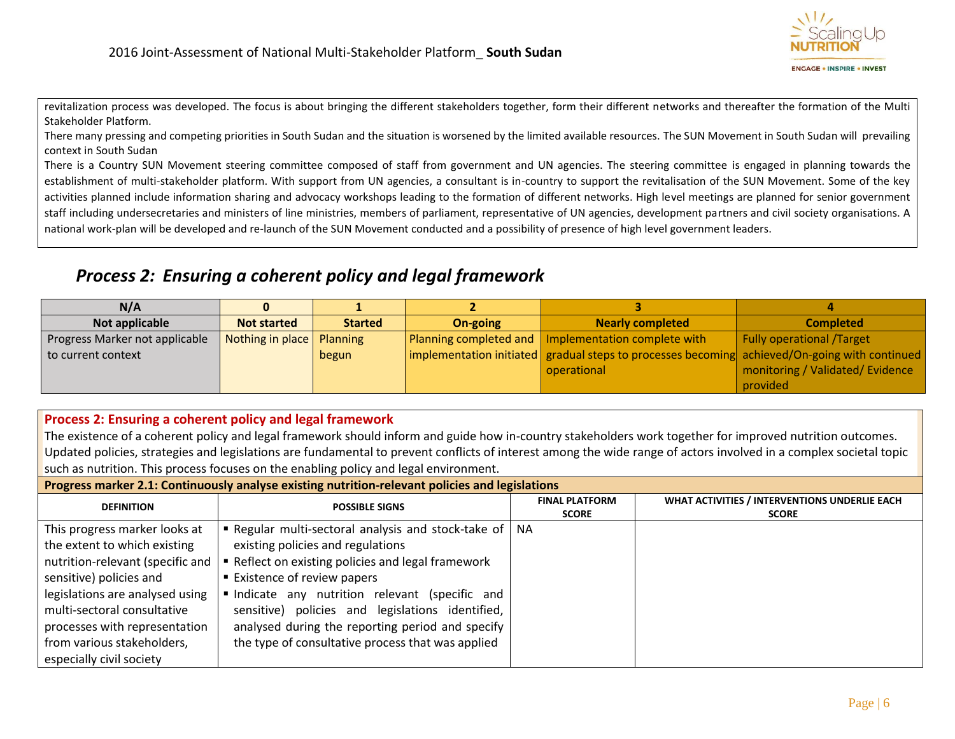

revitalization process was developed. The focus is about bringing the different stakeholders together, form their different networks and thereafter the formation of the Multi Stakeholder Platform.

There many pressing and competing priorities in South Sudan and the situation is worsened by the limited available resources. The SUN Movement in South Sudan will prevailing context in South Sudan

There is a Country SUN Movement steering committee composed of staff from government and UN agencies. The steering committee is engaged in planning towards the establishment of multi-stakeholder platform. With support from UN agencies, a consultant is in-country to support the revitalisation of the SUN Movement. Some of the key activities planned include information sharing and advocacy workshops leading to the formation of different networks. High level meetings are planned for senior government staff including undersecretaries and ministers of line ministries, members of parliament, representative of UN agencies, development partners and civil society organisations. A national work-plan will be developed and re-launch of the SUN Movement conducted and a possibility of presence of high level government leaders.

# *Process 2: Ensuring a coherent policy and legal framework*

| N/A                            |                             |                |          |                                                                                                   |                                  |
|--------------------------------|-----------------------------|----------------|----------|---------------------------------------------------------------------------------------------------|----------------------------------|
| Not applicable                 | <b>Not started</b>          | <b>Started</b> | On-going | <b>Nearly completed</b>                                                                           | <b>Completed</b>                 |
| Progress Marker not applicable | Nothing in place   Planning |                |          | Planning completed and $\vert$ Implementation complete with                                       | Fully operational /Target        |
| to current context             |                             | begun          |          | implementation initiated   gradual steps to processes becoming   achieved/On-going with continued |                                  |
|                                |                             |                |          | operational                                                                                       | monitoring / Validated/ Evidence |
|                                |                             |                |          |                                                                                                   | provided                         |

### **Process 2: Ensuring a coherent policy and legal framework**

The existence of a coherent policy and legal framework should inform and guide how in-country stakeholders work together for improved nutrition outcomes. Updated policies, strategies and legislations are fundamental to prevent conflicts of interest among the wide range of actors involved in a complex societal topic such as nutrition. This process focuses on the enabling policy and legal environment.

**Progress marker 2.1: Continuously analyse existing nutrition-relevant policies and legislations DEFINITION POSSIBLE SIGNS FINAL PLATFORM SCORE WHAT ACTIVITIES / INTERVENTIONS UNDERLIE EACH SCORE** This progress marker looks at the extent to which existing nutrition-relevant (specific and sensitive) policies and legislations are analysed using multi-sectoral consultative processes with representation from various stakeholders, especially civil society Regular multi-sectoral analysis and stock-take of existing policies and regulations Reflect on existing policies and legal framework **Existence of review papers** Indicate any nutrition relevant (specific and sensitive) policies and legislations identified, analysed during the reporting period and specify the type of consultative process that was applied NA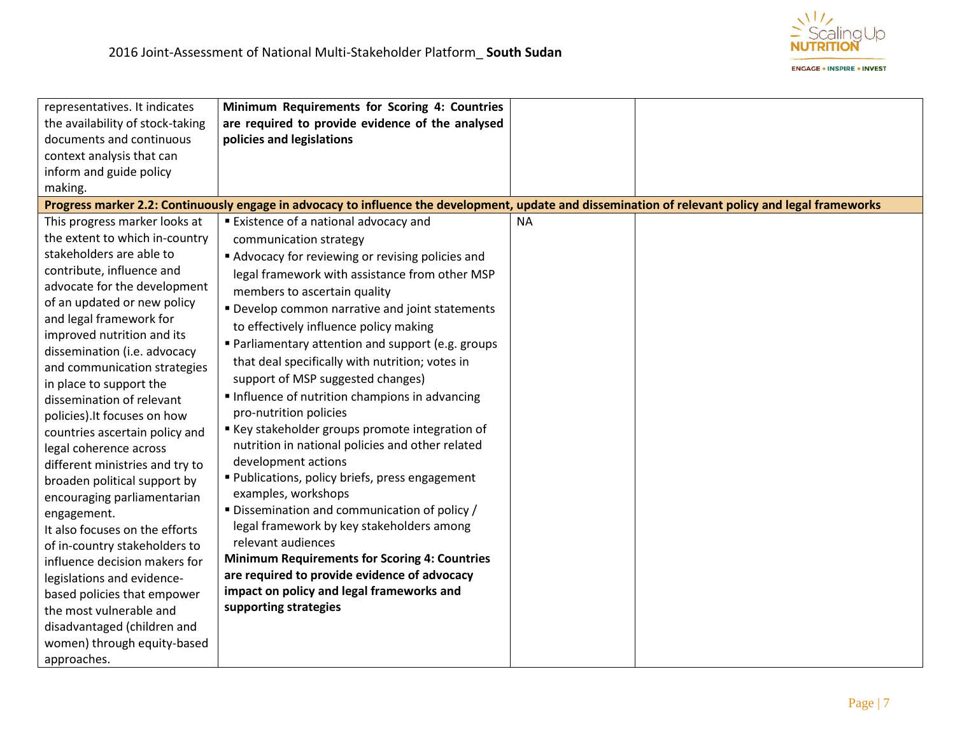

| representatives. It indicates    | Minimum Requirements for Scoring 4: Countries                                                                                                       |           |  |
|----------------------------------|-----------------------------------------------------------------------------------------------------------------------------------------------------|-----------|--|
| the availability of stock-taking | are required to provide evidence of the analysed                                                                                                    |           |  |
| documents and continuous         | policies and legislations                                                                                                                           |           |  |
| context analysis that can        |                                                                                                                                                     |           |  |
| inform and guide policy          |                                                                                                                                                     |           |  |
| making.                          |                                                                                                                                                     |           |  |
|                                  | Progress marker 2.2: Continuously engage in advocacy to influence the development, update and dissemination of relevant policy and legal frameworks |           |  |
| This progress marker looks at    | Existence of a national advocacy and                                                                                                                | <b>NA</b> |  |
| the extent to which in-country   | communication strategy                                                                                                                              |           |  |
| stakeholders are able to         | Advocacy for reviewing or revising policies and                                                                                                     |           |  |
| contribute, influence and        | legal framework with assistance from other MSP                                                                                                      |           |  |
| advocate for the development     | members to ascertain quality                                                                                                                        |           |  |
| of an updated or new policy      | " Develop common narrative and joint statements                                                                                                     |           |  |
| and legal framework for          | to effectively influence policy making                                                                                                              |           |  |
| improved nutrition and its       | Parliamentary attention and support (e.g. groups                                                                                                    |           |  |
| dissemination (i.e. advocacy     | that deal specifically with nutrition; votes in                                                                                                     |           |  |
| and communication strategies     | support of MSP suggested changes)                                                                                                                   |           |  |
| in place to support the          |                                                                                                                                                     |           |  |
| dissemination of relevant        | Influence of nutrition champions in advancing                                                                                                       |           |  |
| policies). It focuses on how     | pro-nutrition policies                                                                                                                              |           |  |
| countries ascertain policy and   | Key stakeholder groups promote integration of                                                                                                       |           |  |
| legal coherence across           | nutrition in national policies and other related                                                                                                    |           |  |
| different ministries and try to  | development actions                                                                                                                                 |           |  |
| broaden political support by     | " Publications, policy briefs, press engagement                                                                                                     |           |  |
| encouraging parliamentarian      | examples, workshops                                                                                                                                 |           |  |
| engagement.                      | " Dissemination and communication of policy /                                                                                                       |           |  |
| It also focuses on the efforts   | legal framework by key stakeholders among                                                                                                           |           |  |
| of in-country stakeholders to    | relevant audiences                                                                                                                                  |           |  |
| influence decision makers for    | <b>Minimum Requirements for Scoring 4: Countries</b>                                                                                                |           |  |
| legislations and evidence-       | are required to provide evidence of advocacy                                                                                                        |           |  |
| based policies that empower      | impact on policy and legal frameworks and                                                                                                           |           |  |
| the most vulnerable and          | supporting strategies                                                                                                                               |           |  |
| disadvantaged (children and      |                                                                                                                                                     |           |  |
| women) through equity-based      |                                                                                                                                                     |           |  |
| approaches.                      |                                                                                                                                                     |           |  |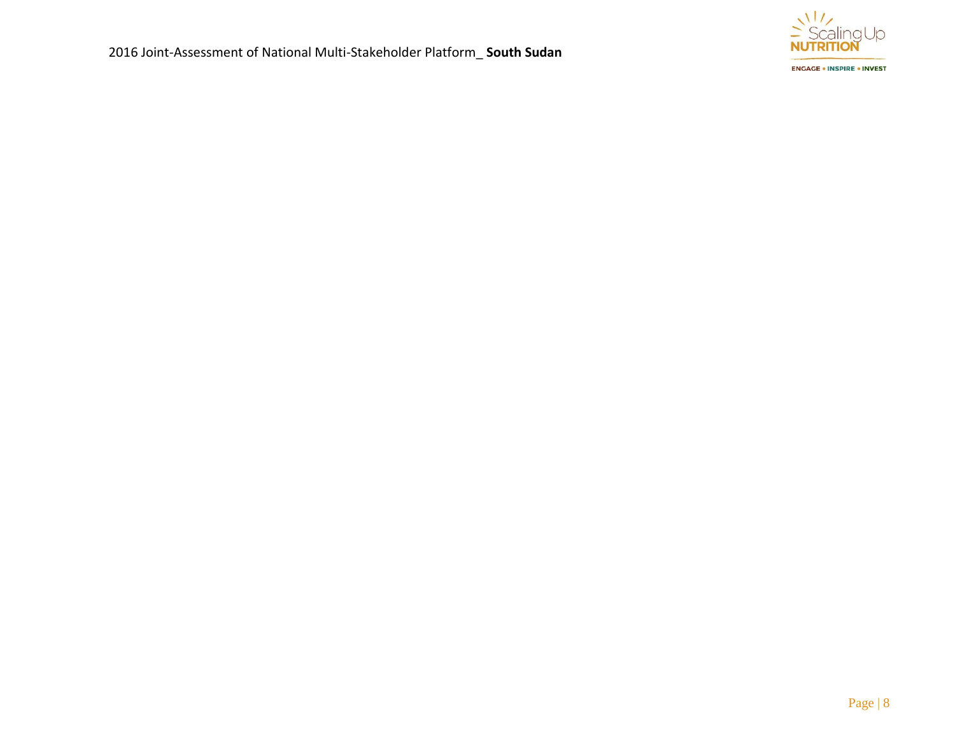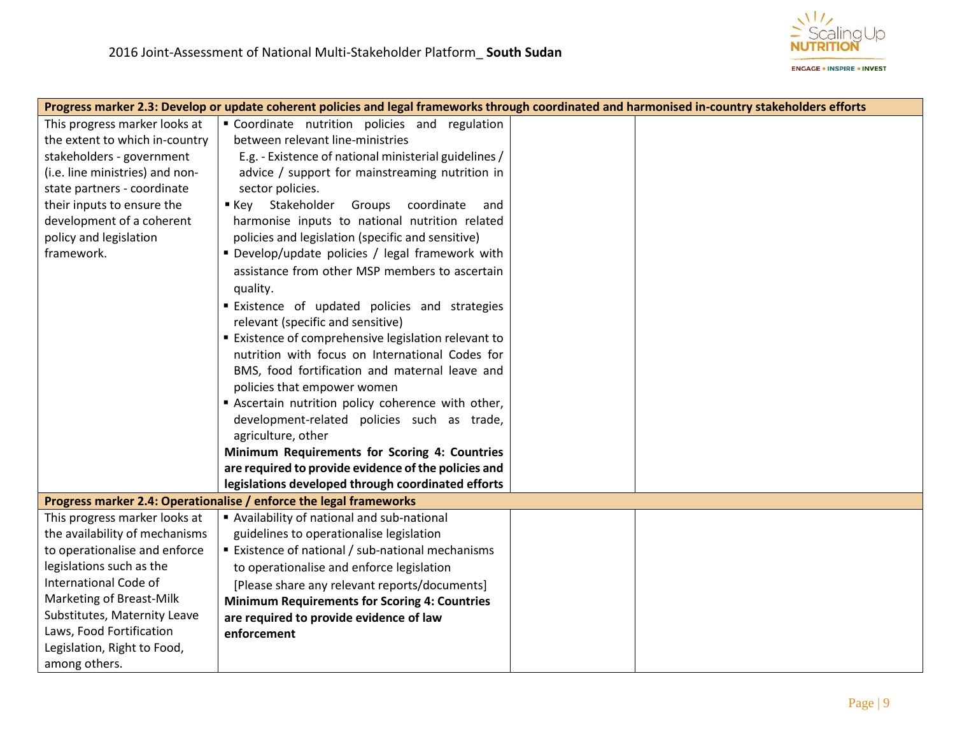|                                 | Progress marker 2.3: Develop or update coherent policies and legal frameworks through coordinated and harmonised in-country stakeholders efforts |  |
|---------------------------------|--------------------------------------------------------------------------------------------------------------------------------------------------|--|
| This progress marker looks at   | "Coordinate nutrition policies and regulation                                                                                                    |  |
| the extent to which in-country  | between relevant line-ministries                                                                                                                 |  |
| stakeholders - government       | E.g. - Existence of national ministerial guidelines /                                                                                            |  |
| (i.e. line ministries) and non- | advice / support for mainstreaming nutrition in                                                                                                  |  |
| state partners - coordinate     | sector policies.                                                                                                                                 |  |
| their inputs to ensure the      | Key Stakeholder Groups coordinate<br>and                                                                                                         |  |
| development of a coherent       | harmonise inputs to national nutrition related                                                                                                   |  |
| policy and legislation          | policies and legislation (specific and sensitive)                                                                                                |  |
| framework.                      | Develop/update policies / legal framework with                                                                                                   |  |
|                                 | assistance from other MSP members to ascertain                                                                                                   |  |
|                                 | quality.                                                                                                                                         |  |
|                                 | <b>Existence of updated policies and strategies</b>                                                                                              |  |
|                                 | relevant (specific and sensitive)                                                                                                                |  |
|                                 | Existence of comprehensive legislation relevant to                                                                                               |  |
|                                 | nutrition with focus on International Codes for                                                                                                  |  |
|                                 | BMS, food fortification and maternal leave and                                                                                                   |  |
|                                 | policies that empower women                                                                                                                      |  |
|                                 | Ascertain nutrition policy coherence with other,                                                                                                 |  |
|                                 | development-related policies such as trade,                                                                                                      |  |
|                                 | agriculture, other                                                                                                                               |  |
|                                 | Minimum Requirements for Scoring 4: Countries                                                                                                    |  |
|                                 | are required to provide evidence of the policies and                                                                                             |  |
|                                 | legislations developed through coordinated efforts                                                                                               |  |
|                                 | Progress marker 2.4: Operationalise / enforce the legal frameworks                                                                               |  |
| This progress marker looks at   | Availability of national and sub-national                                                                                                        |  |
| the availability of mechanisms  | guidelines to operationalise legislation                                                                                                         |  |
| to operationalise and enforce   | Existence of national / sub-national mechanisms                                                                                                  |  |
| legislations such as the        | to operationalise and enforce legislation                                                                                                        |  |
| International Code of           | [Please share any relevant reports/documents]                                                                                                    |  |
| Marketing of Breast-Milk        | <b>Minimum Requirements for Scoring 4: Countries</b>                                                                                             |  |
| Substitutes, Maternity Leave    | are required to provide evidence of law                                                                                                          |  |
| Laws, Food Fortification        | enforcement                                                                                                                                      |  |
| Legislation, Right to Food,     |                                                                                                                                                  |  |
| among others.                   |                                                                                                                                                  |  |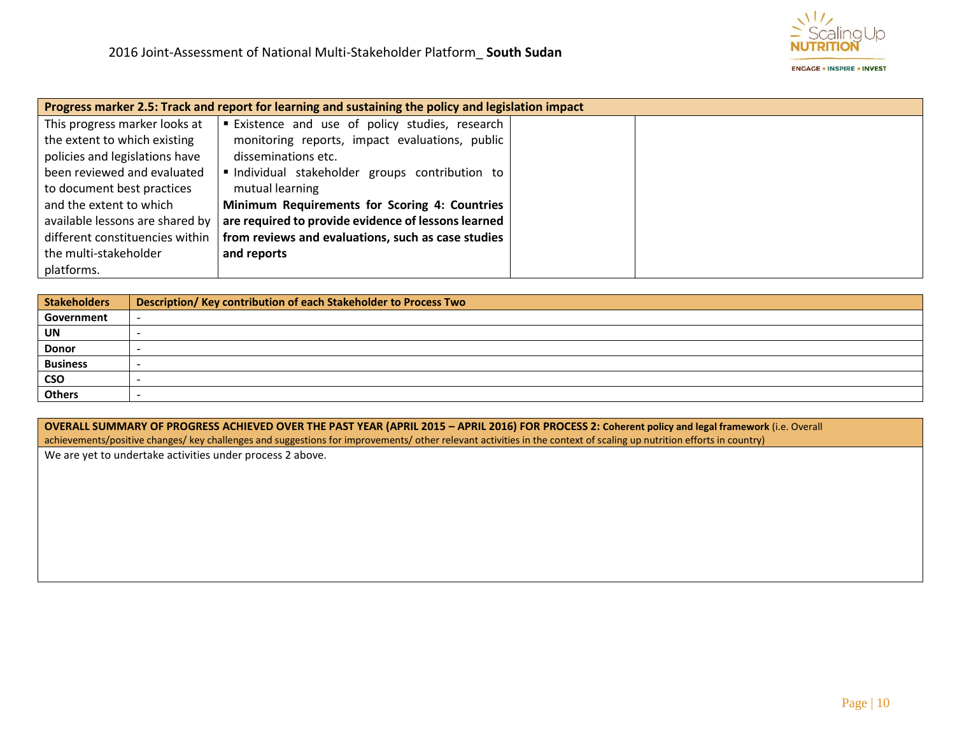

|                                 | Progress marker 2.5: Track and report for learning and sustaining the policy and legislation impact |  |  |  |
|---------------------------------|-----------------------------------------------------------------------------------------------------|--|--|--|
| This progress marker looks at   | Existence and use of policy studies, research                                                       |  |  |  |
| the extent to which existing    | monitoring reports, impact evaluations, public                                                      |  |  |  |
| policies and legislations have  | disseminations etc.                                                                                 |  |  |  |
| been reviewed and evaluated     | Individual stakeholder groups contribution to                                                       |  |  |  |
| to document best practices      | mutual learning                                                                                     |  |  |  |
| and the extent to which         | Minimum Requirements for Scoring 4: Countries                                                       |  |  |  |
| available lessons are shared by | are required to provide evidence of lessons learned                                                 |  |  |  |
| different constituencies within | from reviews and evaluations, such as case studies                                                  |  |  |  |
| the multi-stakeholder           | and reports                                                                                         |  |  |  |
| platforms.                      |                                                                                                     |  |  |  |

| <b>Stakeholders</b> | Description/Key contribution of each Stakeholder to Process Two |
|---------------------|-----------------------------------------------------------------|
| Government          | $\sim$                                                          |
| <b>UN</b>           |                                                                 |
| <b>Donor</b>        |                                                                 |
| <b>Business</b>     |                                                                 |
| <b>CSO</b>          |                                                                 |
| <b>Others</b>       |                                                                 |

**OVERALL SUMMARY OF PROGRESS ACHIEVED OVER THE PAST YEAR (APRIL 2015 – APRIL 2016) FOR PROCESS 2: Coherent policy and legal framework** (i.e. Overall achievements/positive changes/ key challenges and suggestions for improvements/ other relevant activities in the context of scaling up nutrition efforts in country)

We are yet to undertake activities under process 2 above.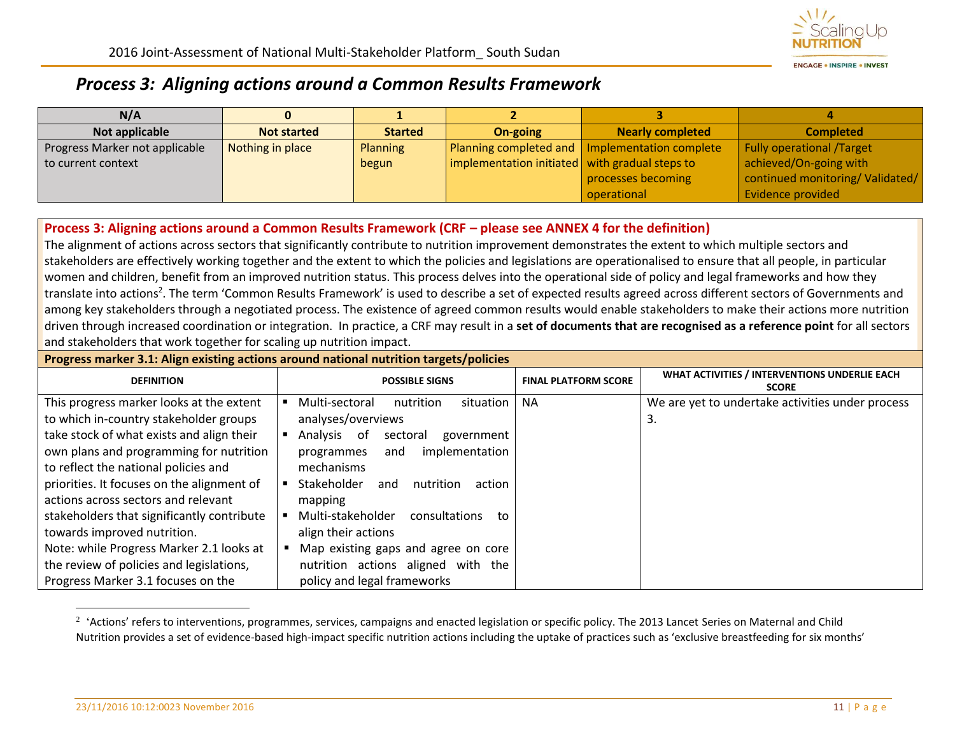

# *Process 3: Aligning actions around a Common Results Framework*

| N/A                            |                  |                 |                                                                |                                                  |                                 |
|--------------------------------|------------------|-----------------|----------------------------------------------------------------|--------------------------------------------------|---------------------------------|
| Not applicable                 | Not started      | <b>Started</b>  | On-going                                                       | <b>Nearly completed</b>                          | <b>Completed</b>                |
| Progress Marker not applicable | Nothing in place | <b>Planning</b> |                                                                | Planning completed and   Implementation complete | Fully operational / Target      |
| to current context             |                  | begun           | $\vert$ implementation initiated $\vert$ with gradual steps to |                                                  | achieved/On-going with          |
|                                |                  |                 |                                                                | processes becoming                               | continued monitoring/Validated/ |
|                                |                  |                 |                                                                | operational                                      | Evidence provided               |

## **Process 3: Aligning actions around a Common Results Framework (CRF – please see ANNEX 4 for the definition)**

The alignment of actions across sectors that significantly contribute to nutrition improvement demonstrates the extent to which multiple sectors and stakeholders are effectively working together and the extent to which the policies and legislations are operationalised to ensure that all people, in particular women and children, benefit from an improved nutrition status. This process delves into the operational side of policy and legal frameworks and how they translate into actions<sup>2</sup>. The term 'Common Results Framework' is used to describe a set of expected results agreed across different sectors of Governments and among key stakeholders through a negotiated process. The existence of agreed common results would enable stakeholders to make their actions more nutrition driven through increased coordination or integration. In practice, a CRF may result in a **set of documents that are recognised as a reference point** for all sectors and stakeholders that work together for scaling up nutrition impact.

#### **Progress marker 3.1: Align existing actions around national nutrition targets/policies**

| <b>DEFINITION</b>                          | <b>POSSIBLE SIGNS</b>                     | <b>FINAL PLATFORM SCORE</b> | WHAT ACTIVITIES / INTERVENTIONS UNDERLIE EACH<br><b>SCORE</b> |
|--------------------------------------------|-------------------------------------------|-----------------------------|---------------------------------------------------------------|
| This progress marker looks at the extent   | Multi-sectoral<br>nutrition<br>situation  | <b>NA</b>                   | We are yet to undertake activities under process              |
| to which in-country stakeholder groups     | analyses/overviews                        |                             | 3.                                                            |
| take stock of what exists and align their  | Analysis of<br>sectoral<br>government     |                             |                                                               |
| own plans and programming for nutrition    | implementation<br>and<br>programmes       |                             |                                                               |
| to reflect the national policies and       | mechanisms                                |                             |                                                               |
| priorities. It focuses on the alignment of | Stakeholder<br>nutrition<br>action<br>and |                             |                                                               |
| actions across sectors and relevant        | mapping                                   |                             |                                                               |
| stakeholders that significantly contribute | Multi-stakeholder<br>consultations<br>to  |                             |                                                               |
| towards improved nutrition.                | align their actions                       |                             |                                                               |
| Note: while Progress Marker 2.1 looks at   | Map existing gaps and agree on core       |                             |                                                               |
| the review of policies and legislations,   | nutrition actions aligned with the        |                             |                                                               |
| Progress Marker 3.1 focuses on the         | policy and legal frameworks               |                             |                                                               |

 $^2$  'Actions' refers to interventions, programmes, services, campaigns and enacted legislation or specific policy. The 2013 Lancet Series on Maternal and Child Nutrition provides a set of evidence-based high-impact specific nutrition actions including the uptake of practices such as 'exclusive breastfeeding for six months'

 $\overline{a}$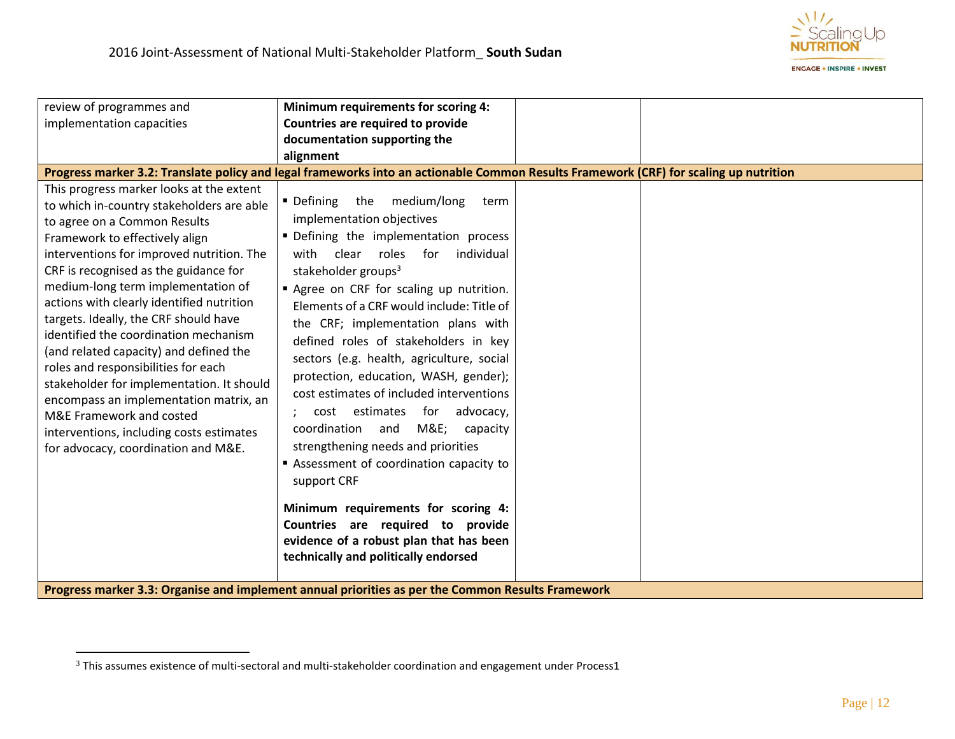| review of programmes and                                                                                                                                                                                                                                                                                                                                                                                                                                                                                                                                                                                                                                                                                  | Minimum requirements for scoring 4:                                                                                                                                                                                                                                                                                                                                                                                                                                                                                                                                                                                                                                                                                                                                                                                                                                                                                                          |  |
|-----------------------------------------------------------------------------------------------------------------------------------------------------------------------------------------------------------------------------------------------------------------------------------------------------------------------------------------------------------------------------------------------------------------------------------------------------------------------------------------------------------------------------------------------------------------------------------------------------------------------------------------------------------------------------------------------------------|----------------------------------------------------------------------------------------------------------------------------------------------------------------------------------------------------------------------------------------------------------------------------------------------------------------------------------------------------------------------------------------------------------------------------------------------------------------------------------------------------------------------------------------------------------------------------------------------------------------------------------------------------------------------------------------------------------------------------------------------------------------------------------------------------------------------------------------------------------------------------------------------------------------------------------------------|--|
| implementation capacities                                                                                                                                                                                                                                                                                                                                                                                                                                                                                                                                                                                                                                                                                 | Countries are required to provide                                                                                                                                                                                                                                                                                                                                                                                                                                                                                                                                                                                                                                                                                                                                                                                                                                                                                                            |  |
|                                                                                                                                                                                                                                                                                                                                                                                                                                                                                                                                                                                                                                                                                                           | documentation supporting the                                                                                                                                                                                                                                                                                                                                                                                                                                                                                                                                                                                                                                                                                                                                                                                                                                                                                                                 |  |
|                                                                                                                                                                                                                                                                                                                                                                                                                                                                                                                                                                                                                                                                                                           | alignment                                                                                                                                                                                                                                                                                                                                                                                                                                                                                                                                                                                                                                                                                                                                                                                                                                                                                                                                    |  |
|                                                                                                                                                                                                                                                                                                                                                                                                                                                                                                                                                                                                                                                                                                           | Progress marker 3.2: Translate policy and legal frameworks into an actionable Common Results Framework (CRF) for scaling up nutrition                                                                                                                                                                                                                                                                                                                                                                                                                                                                                                                                                                                                                                                                                                                                                                                                        |  |
| This progress marker looks at the extent<br>to which in-country stakeholders are able<br>to agree on a Common Results<br>Framework to effectively align<br>interventions for improved nutrition. The<br>CRF is recognised as the guidance for<br>medium-long term implementation of<br>actions with clearly identified nutrition<br>targets. Ideally, the CRF should have<br>identified the coordination mechanism<br>(and related capacity) and defined the<br>roles and responsibilities for each<br>stakeholder for implementation. It should<br>encompass an implementation matrix, an<br>M&E Framework and costed<br>interventions, including costs estimates<br>for advocacy, coordination and M&E. | Defining the medium/long<br>term<br>implementation objectives<br>• Defining the implementation process<br>clear<br>roles<br>for<br>individual<br>with<br>stakeholder groups <sup>3</sup><br>Agree on CRF for scaling up nutrition.<br>Elements of a CRF would include: Title of<br>the CRF; implementation plans with<br>defined roles of stakeholders in key<br>sectors (e.g. health, agriculture, social<br>protection, education, WASH, gender);<br>cost estimates of included interventions<br>cost estimates<br>for advocacy,<br>M&E capacity<br>coordination<br>and<br>strengthening needs and priorities<br>Assessment of coordination capacity to<br>support CRF<br>Minimum requirements for scoring 4:<br>Countries are required to provide<br>evidence of a robust plan that has been<br>technically and politically endorsed<br>Progress marker 3.3: Organise and implement annual priorities as per the Common Results Framework |  |

l

 $3$  This assumes existence of multi-sectoral and multi-stakeholder coordination and engagement under Process1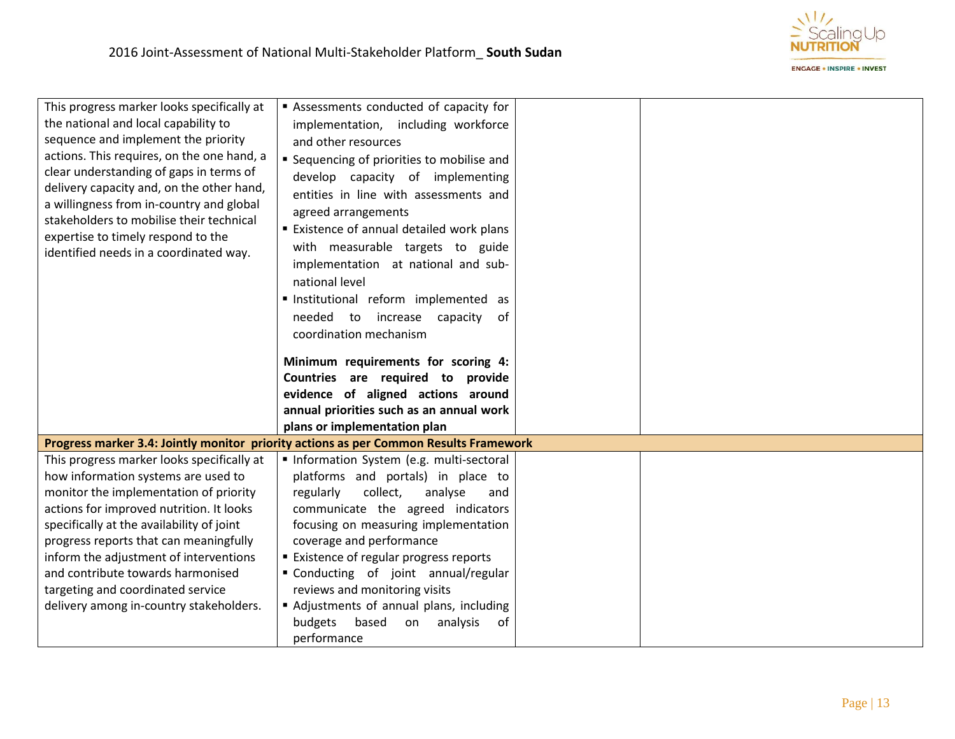

| This progress marker looks specifically at<br>the national and local capability to<br>sequence and implement the priority<br>actions. This requires, on the one hand, a<br>clear understanding of gaps in terms of<br>delivery capacity and, on the other hand,<br>a willingness from in-country and global<br>stakeholders to mobilise their technical<br>expertise to timely respond to the<br>identified needs in a coordinated way. | Assessments conducted of capacity for<br>implementation, including workforce<br>and other resources<br>" Sequencing of priorities to mobilise and<br>develop capacity of implementing<br>entities in line with assessments and<br>agreed arrangements<br><b>Existence of annual detailed work plans</b><br>with measurable targets to guide<br>implementation at national and sub-<br>national level                                                       |  |
|-----------------------------------------------------------------------------------------------------------------------------------------------------------------------------------------------------------------------------------------------------------------------------------------------------------------------------------------------------------------------------------------------------------------------------------------|------------------------------------------------------------------------------------------------------------------------------------------------------------------------------------------------------------------------------------------------------------------------------------------------------------------------------------------------------------------------------------------------------------------------------------------------------------|--|
|                                                                                                                                                                                                                                                                                                                                                                                                                                         | Institutional reform implemented as<br>needed to increase capacity<br>. of<br>coordination mechanism<br>Minimum requirements for scoring 4:<br>Countries are required to provide<br>evidence of aligned actions around<br>annual priorities such as an annual work<br>plans or implementation plan                                                                                                                                                         |  |
|                                                                                                                                                                                                                                                                                                                                                                                                                                         | Progress marker 3.4: Jointly monitor priority actions as per Common Results Framework                                                                                                                                                                                                                                                                                                                                                                      |  |
| This progress marker looks specifically at<br>how information systems are used to<br>monitor the implementation of priority<br>actions for improved nutrition. It looks<br>specifically at the availability of joint<br>progress reports that can meaningfully<br>inform the adjustment of interventions<br>and contribute towards harmonised<br>targeting and coordinated service<br>delivery among in-country stakeholders.           | Information System (e.g. multi-sectoral<br>platforms and portals) in place to<br>regularly<br>collect,<br>analyse<br>and<br>communicate the agreed indicators<br>focusing on measuring implementation<br>coverage and performance<br>■ Existence of regular progress reports<br>" Conducting of joint annual/regular<br>reviews and monitoring visits<br>Adjustments of annual plans, including<br>based<br>analysis<br>budgets<br>on<br>of<br>performance |  |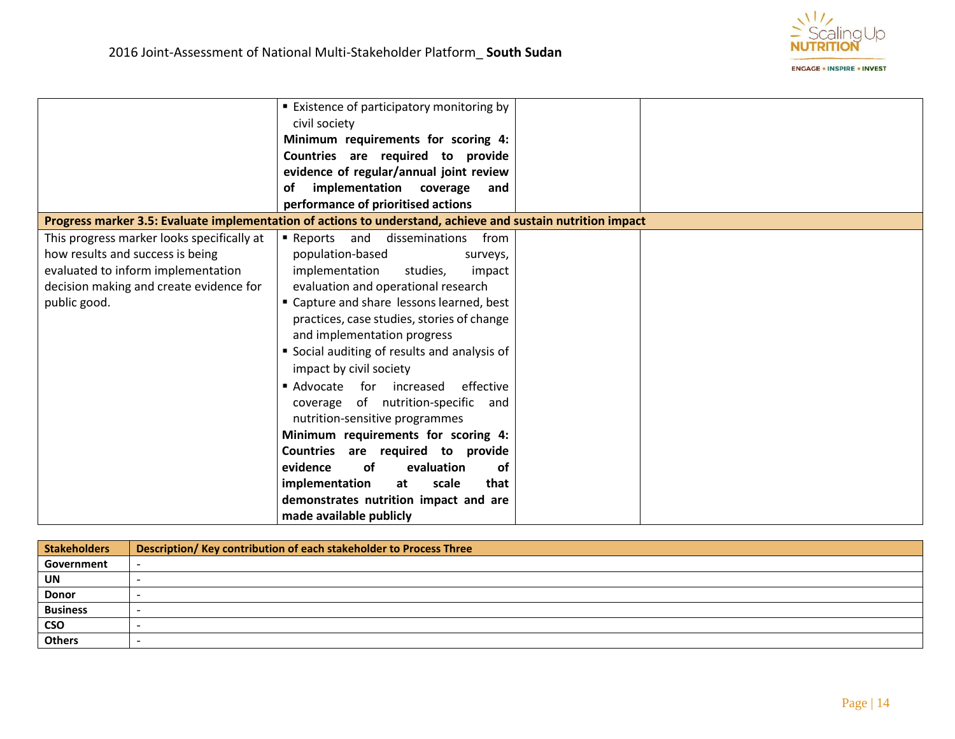

|                                            | ■ Existence of participatory monitoring by                                                                  |  |
|--------------------------------------------|-------------------------------------------------------------------------------------------------------------|--|
|                                            | civil society                                                                                               |  |
|                                            | Minimum requirements for scoring 4:                                                                         |  |
|                                            | Countries are required to provide                                                                           |  |
|                                            | evidence of regular/annual joint review                                                                     |  |
|                                            | implementation coverage<br>and<br>οf                                                                        |  |
|                                            | performance of prioritised actions                                                                          |  |
|                                            | Progress marker 3.5: Evaluate implementation of actions to understand, achieve and sustain nutrition impact |  |
| This progress marker looks specifically at | Reports and<br>disseminations<br>from                                                                       |  |
| how results and success is being           | population-based<br>surveys,                                                                                |  |
| evaluated to inform implementation         | implementation<br>studies,<br>impact                                                                        |  |
| decision making and create evidence for    | evaluation and operational research                                                                         |  |
| public good.                               | " Capture and share lessons learned, best                                                                   |  |
|                                            | practices, case studies, stories of change                                                                  |  |
|                                            | and implementation progress                                                                                 |  |
|                                            | Social auditing of results and analysis of                                                                  |  |
|                                            | impact by civil society                                                                                     |  |
|                                            | effective<br>Advocate for increased                                                                         |  |
|                                            | coverage of nutrition-specific and                                                                          |  |
|                                            | nutrition-sensitive programmes                                                                              |  |
|                                            | Minimum requirements for scoring 4:                                                                         |  |
|                                            | Countries are required to provide                                                                           |  |
|                                            | evaluation<br>evidence<br>0f<br><b>of</b>                                                                   |  |
|                                            | implementation<br>that<br>scale<br>at                                                                       |  |
|                                            | demonstrates nutrition impact and are                                                                       |  |
|                                            | made available publicly                                                                                     |  |

| <b>Stakeholders</b> | Description/Key contribution of each stakeholder to Process Three |
|---------------------|-------------------------------------------------------------------|
| Government          | $\overline{\phantom{a}}$                                          |
| <b>UN</b>           | $\overline{\phantom{a}}$                                          |
| Donor               | $\overline{\phantom{a}}$                                          |
| <b>Business</b>     | -                                                                 |
| <b>CSO</b>          |                                                                   |
| <b>Others</b>       | -                                                                 |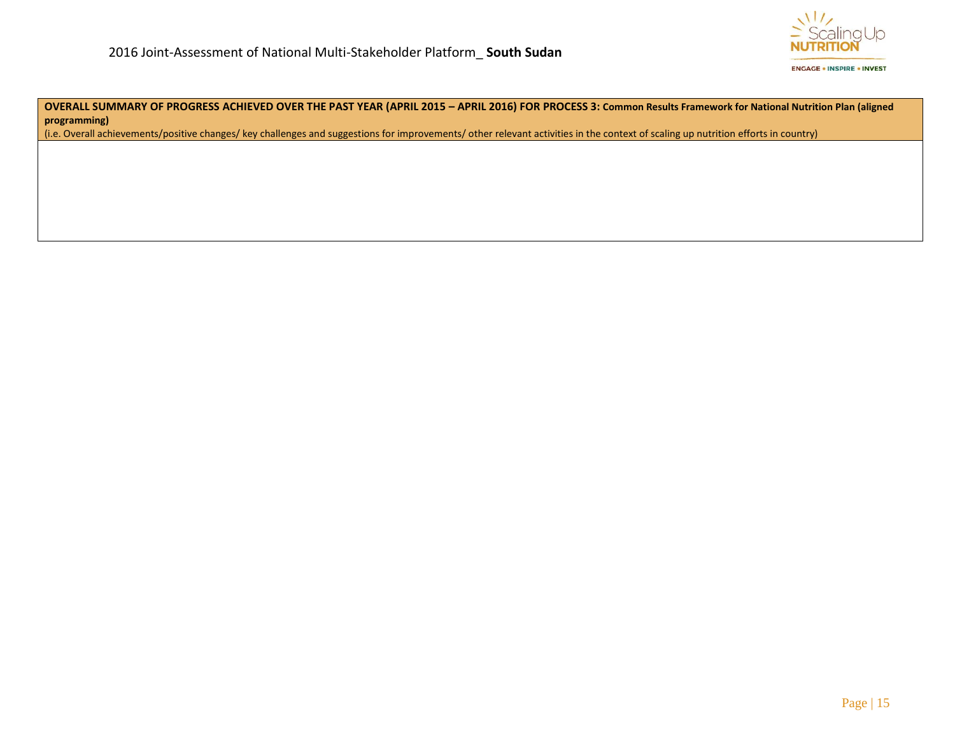

**OVERALL SUMMARY OF PROGRESS ACHIEVED OVER THE PAST YEAR (APRIL 2015 – APRIL 2016) FOR PROCESS 3: Common Results Framework for National Nutrition Plan (aligned programming)** 

(i.e. Overall achievements/positive changes/ key challenges and suggestions for improvements/ other relevant activities in the context of scaling up nutrition efforts in country)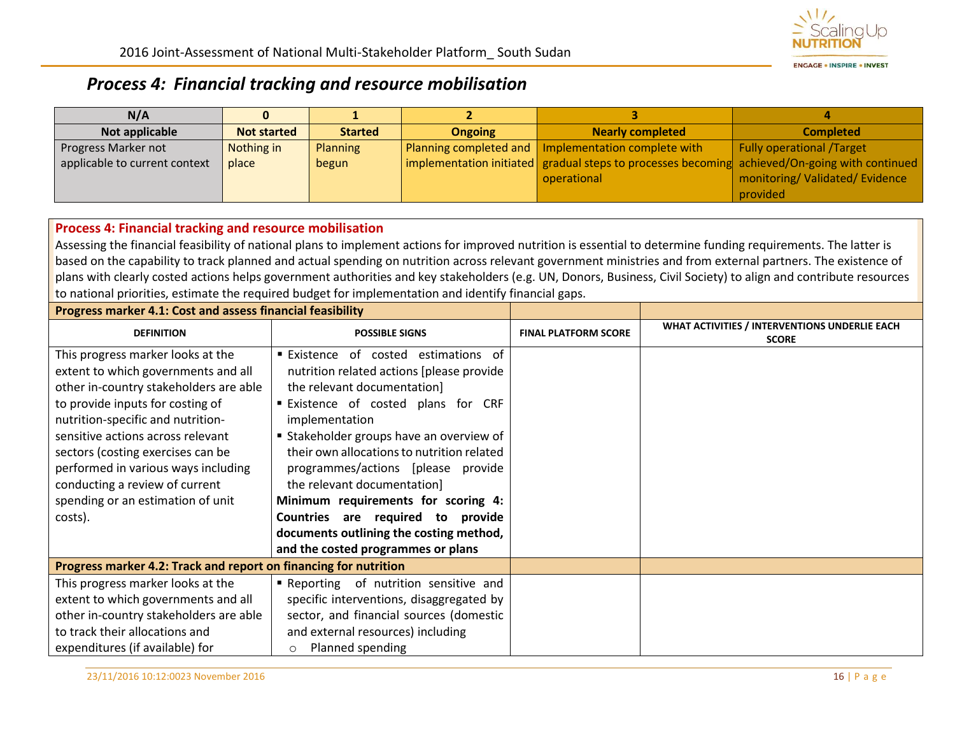

# *Process 4: Financial tracking and resource mobilisation*

| N/A                           |                    |                 |                |                                                                                                 |                               |
|-------------------------------|--------------------|-----------------|----------------|-------------------------------------------------------------------------------------------------|-------------------------------|
| Not applicable                | <b>Not started</b> | <b>Started</b>  | <b>Ongoing</b> | <b>Nearly completed</b>                                                                         | <b>Completed</b>              |
| Progress Marker not           | Nothing in         | <b>Planning</b> |                | Planning completed and Implementation complete with                                             | Fully operational /Target     |
| applicable to current context | place              | begun           |                | implementation initiated   gradual steps to processes becoming achieved/On-going with continued |                               |
|                               |                    |                 |                | operational                                                                                     | monitoring/Validated/Evidence |
|                               |                    |                 |                |                                                                                                 | provided                      |

## **Process 4: Financial tracking and resource mobilisation**

Assessing the financial feasibility of national plans to implement actions for improved nutrition is essential to determine funding requirements. The latter is based on the capability to track planned and actual spending on nutrition across relevant government ministries and from external partners. The existence of plans with clearly costed actions helps government authorities and key stakeholders (e.g. UN, Donors, Business, Civil Society) to align and contribute resources to national priorities, estimate the required budget for implementation and identify financial gaps.

| Progress marker 4.1: Cost and assess financial feasibility                                                                                                                                                                                                                                                                                                                                     |                                                                                                                                                                                                                                                                                                                                                                                                                                                                                                        |                             |                                                               |
|------------------------------------------------------------------------------------------------------------------------------------------------------------------------------------------------------------------------------------------------------------------------------------------------------------------------------------------------------------------------------------------------|--------------------------------------------------------------------------------------------------------------------------------------------------------------------------------------------------------------------------------------------------------------------------------------------------------------------------------------------------------------------------------------------------------------------------------------------------------------------------------------------------------|-----------------------------|---------------------------------------------------------------|
| <b>DEFINITION</b>                                                                                                                                                                                                                                                                                                                                                                              | <b>POSSIBLE SIGNS</b>                                                                                                                                                                                                                                                                                                                                                                                                                                                                                  | <b>FINAL PLATFORM SCORE</b> | WHAT ACTIVITIES / INTERVENTIONS UNDERLIE EACH<br><b>SCORE</b> |
| This progress marker looks at the<br>extent to which governments and all<br>other in-country stakeholders are able<br>to provide inputs for costing of<br>nutrition-specific and nutrition-<br>sensitive actions across relevant<br>sectors (costing exercises can be<br>performed in various ways including<br>conducting a review of current<br>spending or an estimation of unit<br>costs). | Existence of costed estimations of<br>nutrition related actions [please provide<br>the relevant documentation]<br>Existence of costed plans for CRF<br>implementation<br><b>Stakeholder groups have an overview of</b><br>their own allocations to nutrition related<br>programmes/actions [please provide<br>the relevant documentation]<br>Minimum requirements for scoring 4:<br>Countries are required to provide<br>documents outlining the costing method,<br>and the costed programmes or plans |                             |                                                               |
| Progress marker 4.2: Track and report on financing for nutrition                                                                                                                                                                                                                                                                                                                               |                                                                                                                                                                                                                                                                                                                                                                                                                                                                                                        |                             |                                                               |
| This progress marker looks at the                                                                                                                                                                                                                                                                                                                                                              | Reporting of nutrition sensitive and                                                                                                                                                                                                                                                                                                                                                                                                                                                                   |                             |                                                               |
| extent to which governments and all                                                                                                                                                                                                                                                                                                                                                            | specific interventions, disaggregated by                                                                                                                                                                                                                                                                                                                                                                                                                                                               |                             |                                                               |
| other in-country stakeholders are able                                                                                                                                                                                                                                                                                                                                                         | sector, and financial sources (domestic                                                                                                                                                                                                                                                                                                                                                                                                                                                                |                             |                                                               |
| to track their allocations and                                                                                                                                                                                                                                                                                                                                                                 | and external resources) including                                                                                                                                                                                                                                                                                                                                                                                                                                                                      |                             |                                                               |
| expenditures (if available) for                                                                                                                                                                                                                                                                                                                                                                | Planned spending<br>$\circ$                                                                                                                                                                                                                                                                                                                                                                                                                                                                            |                             |                                                               |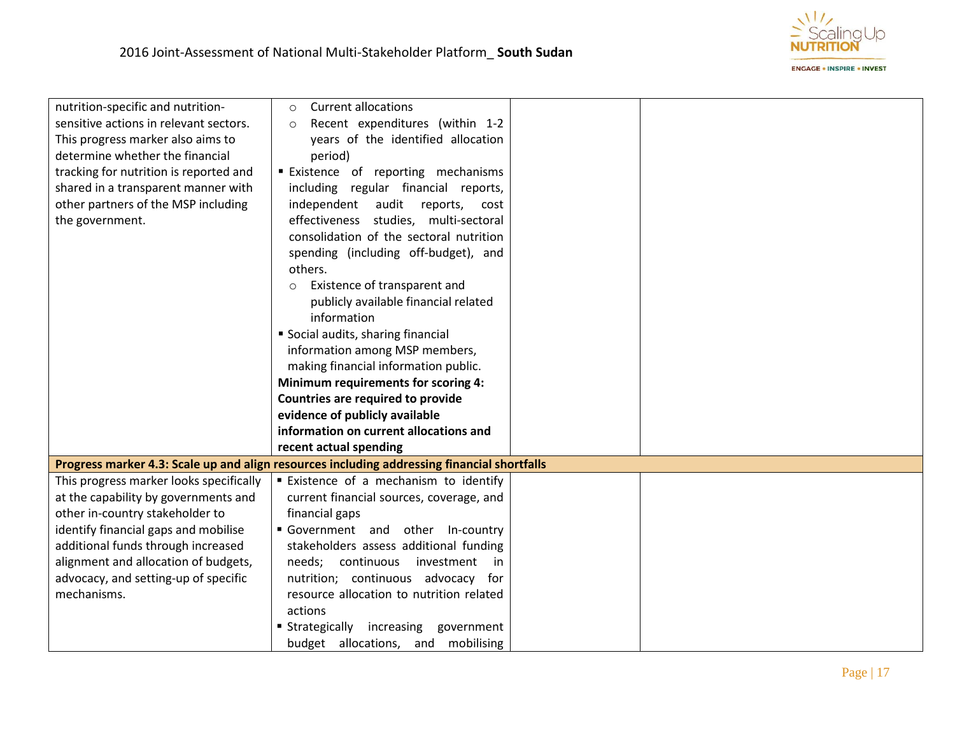



|                                         | <b>Current allocations</b>                                                                  |  |
|-----------------------------------------|---------------------------------------------------------------------------------------------|--|
| nutrition-specific and nutrition-       | $\circ$                                                                                     |  |
| sensitive actions in relevant sectors.  | Recent expenditures (within 1-2<br>$\circ$                                                  |  |
| This progress marker also aims to       | years of the identified allocation                                                          |  |
| determine whether the financial         | period)                                                                                     |  |
| tracking for nutrition is reported and  | Existence of reporting mechanisms                                                           |  |
| shared in a transparent manner with     | including regular financial reports,                                                        |  |
| other partners of the MSP including     | independent audit reports, cost                                                             |  |
| the government.                         | effectiveness studies, multi-sectoral                                                       |  |
|                                         | consolidation of the sectoral nutrition                                                     |  |
|                                         | spending (including off-budget), and                                                        |  |
|                                         | others.                                                                                     |  |
|                                         | Existence of transparent and<br>$\circ$                                                     |  |
|                                         | publicly available financial related                                                        |  |
|                                         | information                                                                                 |  |
|                                         | Social audits, sharing financial                                                            |  |
|                                         | information among MSP members,                                                              |  |
|                                         | making financial information public.                                                        |  |
|                                         | Minimum requirements for scoring 4:                                                         |  |
|                                         |                                                                                             |  |
|                                         | Countries are required to provide                                                           |  |
|                                         | evidence of publicly available                                                              |  |
|                                         | information on current allocations and                                                      |  |
|                                         | recent actual spending                                                                      |  |
|                                         | Progress marker 4.3: Scale up and align resources including addressing financial shortfalls |  |
| This progress marker looks specifically | Existence of a mechanism to identify                                                        |  |
| at the capability by governments and    | current financial sources, coverage, and                                                    |  |
| other in-country stakeholder to         | financial gaps                                                                              |  |
| identify financial gaps and mobilise    | Government and other In-country                                                             |  |
| additional funds through increased      | stakeholders assess additional funding                                                      |  |
| alignment and allocation of budgets,    | needs; continuous investment<br>in i                                                        |  |
| advocacy, and setting-up of specific    | nutrition; continuous advocacy for                                                          |  |
| mechanisms.                             | resource allocation to nutrition related                                                    |  |
|                                         | actions                                                                                     |  |
|                                         | <b>Strategically</b> increasing government                                                  |  |
|                                         | budget allocations, and mobilising                                                          |  |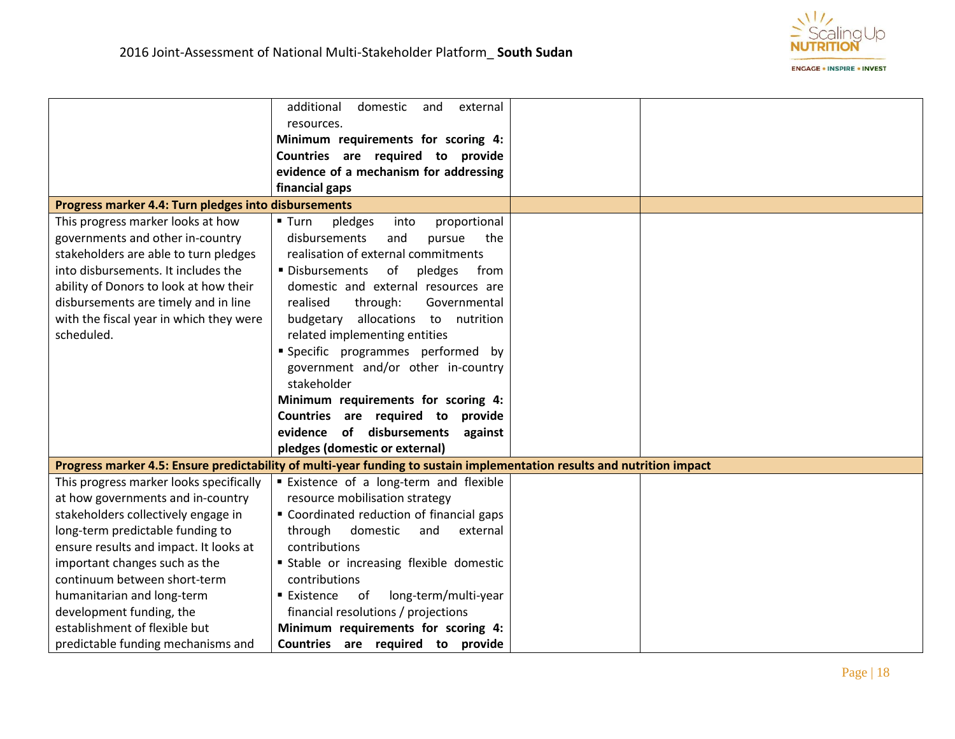

|                                                      | additional<br>external<br>domestic<br>and                                                                               |  |
|------------------------------------------------------|-------------------------------------------------------------------------------------------------------------------------|--|
|                                                      | resources.                                                                                                              |  |
|                                                      | Minimum requirements for scoring 4:                                                                                     |  |
|                                                      | Countries are required to provide                                                                                       |  |
|                                                      | evidence of a mechanism for addressing                                                                                  |  |
|                                                      | financial gaps                                                                                                          |  |
| Progress marker 4.4: Turn pledges into disbursements |                                                                                                                         |  |
| This progress marker looks at how                    | $\blacksquare$ Turn<br>pledges<br>proportional<br>into                                                                  |  |
| governments and other in-country                     | disbursements<br>and<br>the<br>pursue                                                                                   |  |
| stakeholders are able to turn pledges                | realisation of external commitments                                                                                     |  |
| into disbursements. It includes the                  | Disbursements<br>of<br>pledges<br>from                                                                                  |  |
| ability of Donors to look at how their               | domestic and external resources are                                                                                     |  |
| disbursements are timely and in line                 | realised<br>through:<br>Governmental                                                                                    |  |
| with the fiscal year in which they were              | budgetary allocations to nutrition                                                                                      |  |
| scheduled.                                           | related implementing entities                                                                                           |  |
|                                                      | Specific programmes performed by                                                                                        |  |
|                                                      | government and/or other in-country                                                                                      |  |
|                                                      | stakeholder                                                                                                             |  |
|                                                      |                                                                                                                         |  |
|                                                      | Minimum requirements for scoring 4:                                                                                     |  |
|                                                      | Countries are required to provide                                                                                       |  |
|                                                      | evidence of disbursements<br>against                                                                                    |  |
|                                                      | pledges (domestic or external)                                                                                          |  |
|                                                      | Progress marker 4.5: Ensure predictability of multi-year funding to sustain implementation results and nutrition impact |  |
| This progress marker looks specifically              | Existence of a long-term and flexible                                                                                   |  |
| at how governments and in-country                    | resource mobilisation strategy                                                                                          |  |
| stakeholders collectively engage in                  | " Coordinated reduction of financial gaps                                                                               |  |
| long-term predictable funding to                     | through<br>domestic<br>external<br>and                                                                                  |  |
| ensure results and impact. It looks at               | contributions                                                                                                           |  |
| important changes such as the                        | <b>Stable or increasing flexible domestic</b>                                                                           |  |
| continuum between short-term                         | contributions                                                                                                           |  |
| humanitarian and long-term                           | long-term/multi-year<br>$\circ$ of<br>■ Existence                                                                       |  |
| development funding, the                             | financial resolutions / projections                                                                                     |  |
| establishment of flexible but                        | Minimum requirements for scoring 4:                                                                                     |  |
| predictable funding mechanisms and                   | Countries are required to provide                                                                                       |  |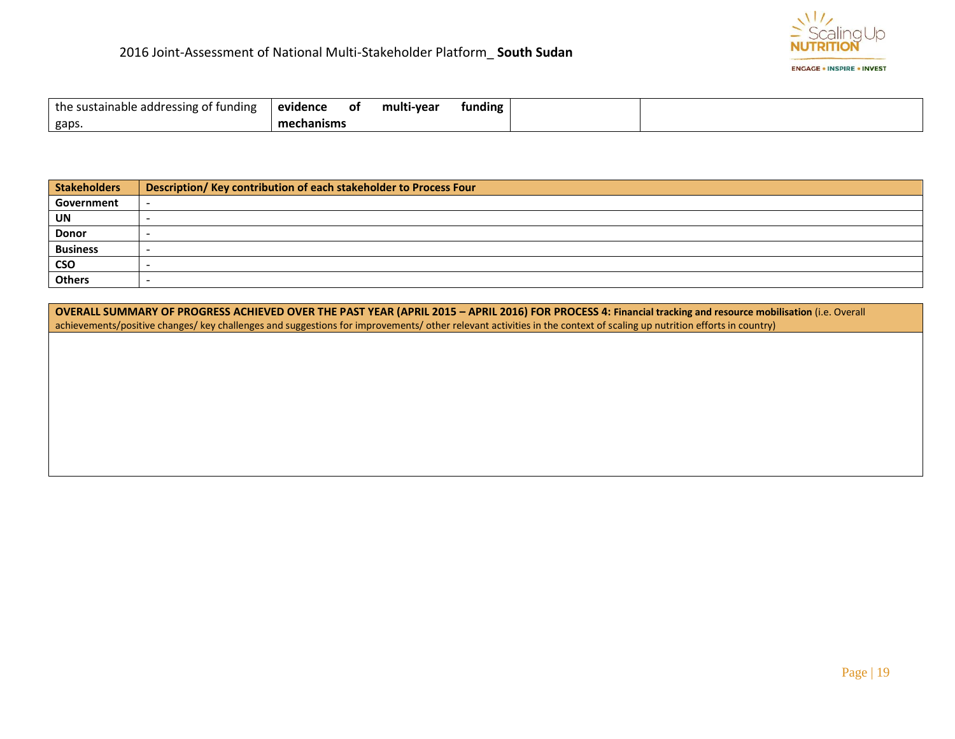

| the sustainable addressing of funding | evidence   | Οt | multi-year | tunding |
|---------------------------------------|------------|----|------------|---------|
| gaps                                  | mechanisms |    |            |         |

| <b>Stakeholders</b> | Description/Key contribution of each stakeholder to Process Four |
|---------------------|------------------------------------------------------------------|
| Government          |                                                                  |
| UN                  |                                                                  |
| Donor               |                                                                  |
| <b>Business</b>     |                                                                  |
| <b>CSO</b>          |                                                                  |
| <b>Others</b>       |                                                                  |

**OVERALL SUMMARY OF PROGRESS ACHIEVED OVER THE PAST YEAR (APRIL 2015 – APRIL 2016) FOR PROCESS 4: Financial tracking and resource mobilisation** (i.e. Overall achievements/positive changes/ key challenges and suggestions for improvements/ other relevant activities in the context of scaling up nutrition efforts in country)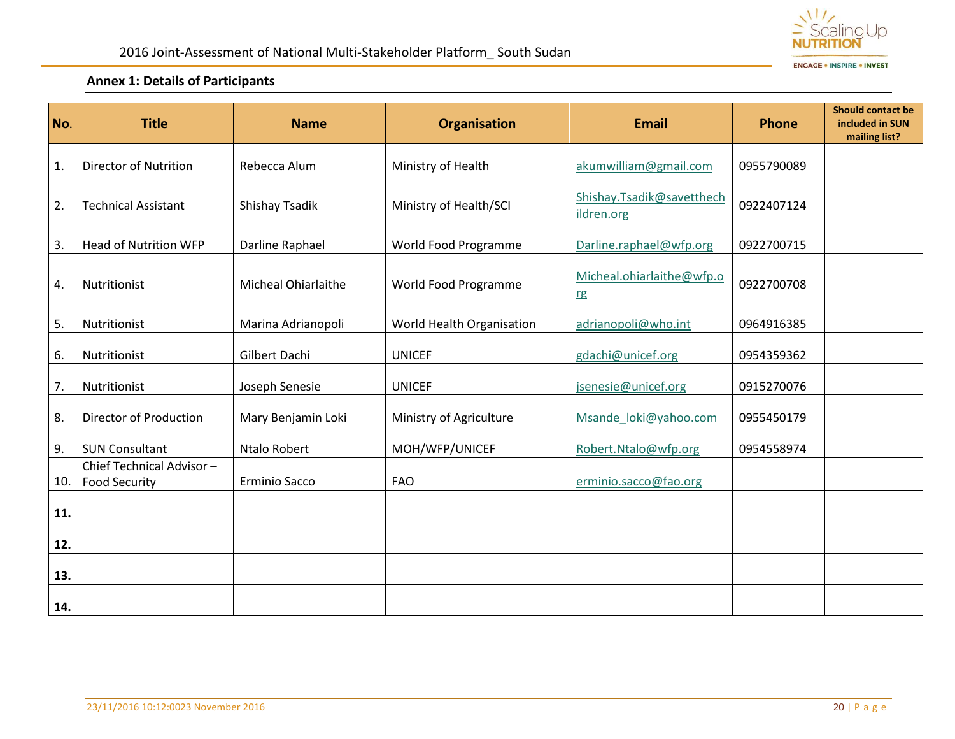

## **Annex 1: Details of Participants**

| No. | <b>Title</b>                                     | <b>Name</b>                | <b>Organisation</b>       | <b>Email</b>                            | <b>Phone</b> | <b>Should contact be</b><br>included in SUN<br>mailing list? |
|-----|--------------------------------------------------|----------------------------|---------------------------|-----------------------------------------|--------------|--------------------------------------------------------------|
| 1.  | <b>Director of Nutrition</b>                     | Rebecca Alum               | Ministry of Health        | akumwilliam@gmail.com                   | 0955790089   |                                                              |
| 2.  | <b>Technical Assistant</b>                       | Shishay Tsadik             | Ministry of Health/SCI    | Shishay.Tsadik@savetthech<br>ildren.org | 0922407124   |                                                              |
| 3.  | <b>Head of Nutrition WFP</b>                     | Darline Raphael            | World Food Programme      | Darline.raphael@wfp.org                 | 0922700715   |                                                              |
| 4.  | Nutritionist                                     | <b>Micheal Ohiarlaithe</b> | World Food Programme      | Micheal.ohiarlaithe@wfp.o<br>rg         | 0922700708   |                                                              |
| 5.  | Nutritionist                                     | Marina Adrianopoli         | World Health Organisation | adrianopoli@who.int                     | 0964916385   |                                                              |
| 6.  | Nutritionist                                     | Gilbert Dachi              | <b>UNICEF</b>             | gdachi@unicef.org                       | 0954359362   |                                                              |
| 7.  | Nutritionist                                     | Joseph Senesie             | <b>UNICEF</b>             | jsenesie@unicef.org                     | 0915270076   |                                                              |
| 8.  | <b>Director of Production</b>                    | Mary Benjamin Loki         | Ministry of Agriculture   | Msande loki@yahoo.com                   | 0955450179   |                                                              |
| 9.  | <b>SUN Consultant</b>                            | Ntalo Robert               | MOH/WFP/UNICEF            | Robert.Ntalo@wfp.org                    | 0954558974   |                                                              |
| 10. | Chief Technical Advisor-<br><b>Food Security</b> | <b>Erminio Sacco</b>       | <b>FAO</b>                | erminio.sacco@fao.org                   |              |                                                              |
| 11. |                                                  |                            |                           |                                         |              |                                                              |
| 12. |                                                  |                            |                           |                                         |              |                                                              |
| 13. |                                                  |                            |                           |                                         |              |                                                              |
| 14. |                                                  |                            |                           |                                         |              |                                                              |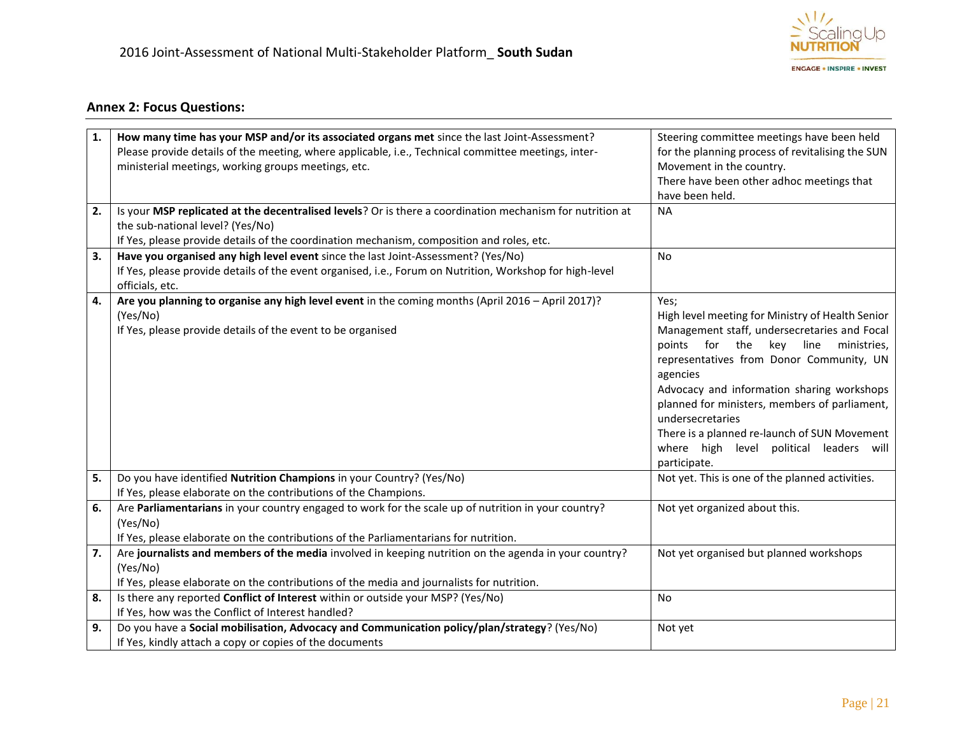

## **Annex 2: Focus Questions:**

| 1. | How many time has your MSP and/or its associated organs met since the last Joint-Assessment?                                                                                                  | Steering committee meetings have been held       |
|----|-----------------------------------------------------------------------------------------------------------------------------------------------------------------------------------------------|--------------------------------------------------|
|    | Please provide details of the meeting, where applicable, i.e., Technical committee meetings, inter-                                                                                           | for the planning process of revitalising the SUN |
|    | ministerial meetings, working groups meetings, etc.                                                                                                                                           | Movement in the country.                         |
|    |                                                                                                                                                                                               | There have been other adhoc meetings that        |
|    |                                                                                                                                                                                               | have been held.                                  |
| 2. | Is your MSP replicated at the decentralised levels? Or is there a coordination mechanism for nutrition at                                                                                     | <b>NA</b>                                        |
|    | the sub-national level? (Yes/No)                                                                                                                                                              |                                                  |
|    | If Yes, please provide details of the coordination mechanism, composition and roles, etc.                                                                                                     |                                                  |
| 3. | Have you organised any high level event since the last Joint-Assessment? (Yes/No)                                                                                                             | No                                               |
|    | If Yes, please provide details of the event organised, i.e., Forum on Nutrition, Workshop for high-level                                                                                      |                                                  |
|    | officials, etc.                                                                                                                                                                               |                                                  |
| 4. | Are you planning to organise any high level event in the coming months (April 2016 - April 2017)?                                                                                             | Yes:                                             |
|    | (Yes/No)                                                                                                                                                                                      | High level meeting for Ministry of Health Senior |
|    | If Yes, please provide details of the event to be organised                                                                                                                                   | Management staff, undersecretaries and Focal     |
|    |                                                                                                                                                                                               | points for the<br>key line<br>ministries,        |
|    |                                                                                                                                                                                               | representatives from Donor Community, UN         |
|    |                                                                                                                                                                                               | agencies                                         |
|    |                                                                                                                                                                                               | Advocacy and information sharing workshops       |
|    |                                                                                                                                                                                               | planned for ministers, members of parliament,    |
|    |                                                                                                                                                                                               | undersecretaries                                 |
|    |                                                                                                                                                                                               | There is a planned re-launch of SUN Movement     |
|    |                                                                                                                                                                                               | where high level political leaders will          |
|    |                                                                                                                                                                                               | participate.                                     |
| 5. | Do you have identified Nutrition Champions in your Country? (Yes/No)                                                                                                                          | Not yet. This is one of the planned activities.  |
|    | If Yes, please elaborate on the contributions of the Champions.                                                                                                                               |                                                  |
| 6. | Are Parliamentarians in your country engaged to work for the scale up of nutrition in your country?<br>(Yes/No)                                                                               | Not yet organized about this.                    |
|    |                                                                                                                                                                                               |                                                  |
| 7. | If Yes, please elaborate on the contributions of the Parliamentarians for nutrition.<br>Are journalists and members of the media involved in keeping nutrition on the agenda in your country? | Not yet organised but planned workshops          |
|    | (Yes/No)                                                                                                                                                                                      |                                                  |
|    | If Yes, please elaborate on the contributions of the media and journalists for nutrition.                                                                                                     |                                                  |
| 8. | Is there any reported Conflict of Interest within or outside your MSP? (Yes/No)                                                                                                               | <b>No</b>                                        |
|    |                                                                                                                                                                                               |                                                  |
|    |                                                                                                                                                                                               |                                                  |
| 9. | If Yes, how was the Conflict of Interest handled?<br>Do you have a Social mobilisation, Advocacy and Communication policy/plan/strategy? (Yes/No)                                             | Not yet                                          |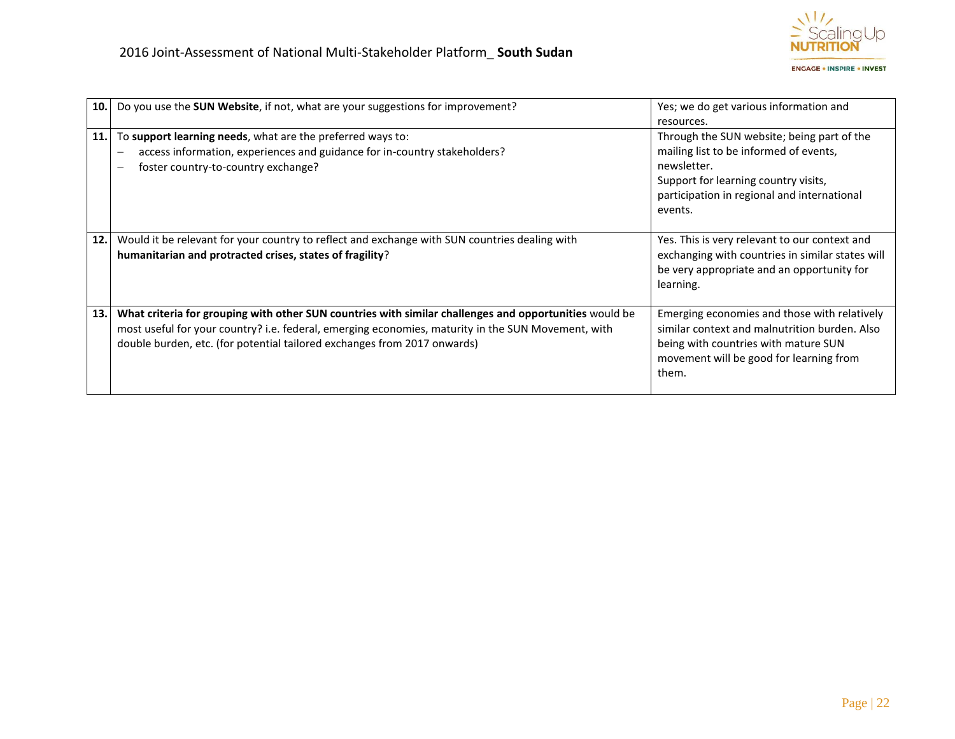

| 10.1 | Do you use the SUN Website, if not, what are your suggestions for improvement?                                                                                                                                                                                                           | Yes; we do get various information and<br>resources.                                                                                                                                                  |
|------|------------------------------------------------------------------------------------------------------------------------------------------------------------------------------------------------------------------------------------------------------------------------------------------|-------------------------------------------------------------------------------------------------------------------------------------------------------------------------------------------------------|
| 11   | To support learning needs, what are the preferred ways to:<br>access information, experiences and guidance for in-country stakeholders?<br>foster country-to-country exchange?<br>$\overline{\phantom{0}}$                                                                               | Through the SUN website; being part of the<br>mailing list to be informed of events,<br>newsletter.<br>Support for learning country visits,<br>participation in regional and international<br>events. |
| 12.  | Would it be relevant for your country to reflect and exchange with SUN countries dealing with<br>humanitarian and protracted crises, states of fragility?                                                                                                                                | Yes. This is very relevant to our context and<br>exchanging with countries in similar states will<br>be very appropriate and an opportunity for<br>learning.                                          |
| 13.1 | What criteria for grouping with other SUN countries with similar challenges and opportunities would be<br>most useful for your country? i.e. federal, emerging economies, maturity in the SUN Movement, with<br>double burden, etc. (for potential tailored exchanges from 2017 onwards) | Emerging economies and those with relatively<br>similar context and malnutrition burden. Also<br>being with countries with mature SUN<br>movement will be good for learning from<br>them.             |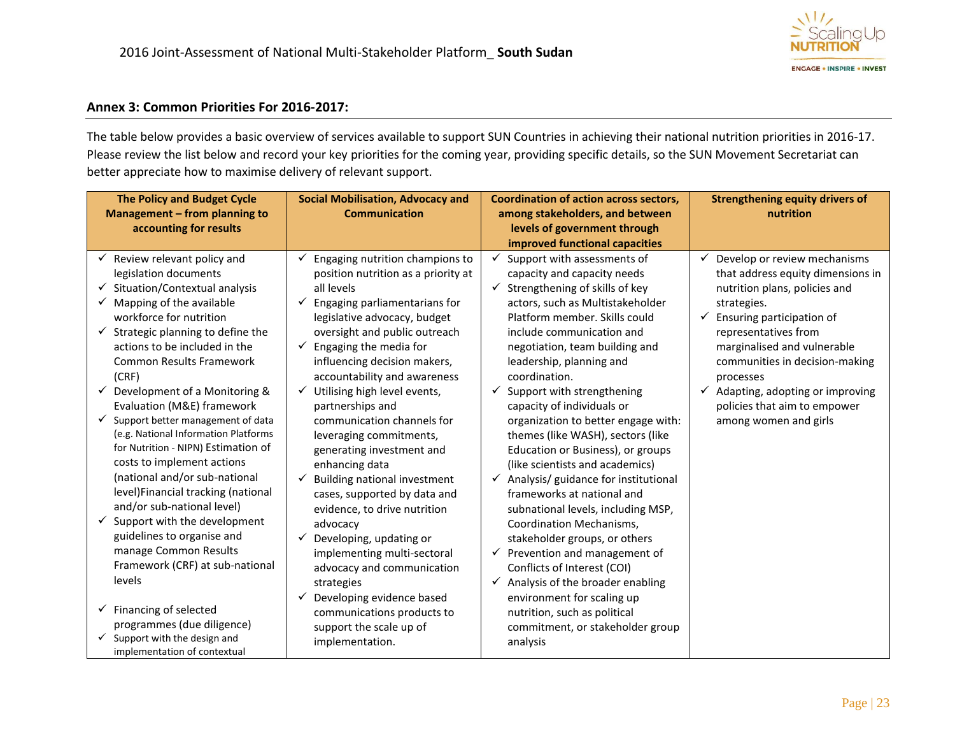

# **Annex 3: Common Priorities For 2016-2017:**

The table below provides a basic overview of services available to support SUN Countries in achieving their national nutrition priorities in 2016-17. Please review the list below and record your key priorities for the coming year, providing specific details, so the SUN Movement Secretariat can better appreciate how to maximise delivery of relevant support.

| <b>The Policy and Budget Cycle</b><br>Management - from planning to<br>accounting for results                                                                                                                                                                               | <b>Social Mobilisation, Advocacy and</b><br><b>Communication</b>                                                                                                                                                         | <b>Coordination of action across sectors,</b><br>among stakeholders, and between<br>levels of government through                                                                                                                                                                                                | <b>Strengthening equity drivers of</b><br>nutrition                                                                                                                                                        |
|-----------------------------------------------------------------------------------------------------------------------------------------------------------------------------------------------------------------------------------------------------------------------------|--------------------------------------------------------------------------------------------------------------------------------------------------------------------------------------------------------------------------|-----------------------------------------------------------------------------------------------------------------------------------------------------------------------------------------------------------------------------------------------------------------------------------------------------------------|------------------------------------------------------------------------------------------------------------------------------------------------------------------------------------------------------------|
| $\checkmark$ Review relevant policy and<br>legislation documents<br>$\checkmark$ Situation/Contextual analysis<br>Mapping of the available<br>workforce for nutrition<br>$\checkmark$ Strategic planning to define the<br>actions to be included in the                     | Engaging nutrition champions to<br>position nutrition as a priority at<br>all levels<br>Engaging parliamentarians for<br>legislative advocacy, budget<br>oversight and public outreach<br>Engaging the media for         | improved functional capacities<br>Support with assessments of<br>capacity and capacity needs<br>Strengthening of skills of key<br>✓<br>actors, such as Multistakeholder<br>Platform member. Skills could<br>include communication and<br>negotiation, team building and                                         | Develop or review mechanisms<br>✓<br>that address equity dimensions in<br>nutrition plans, policies and<br>strategies.<br>Ensuring participation of<br>representatives from<br>marginalised and vulnerable |
| <b>Common Results Framework</b><br>(CRF)<br>Development of a Monitoring &<br>✓<br>Evaluation (M&E) framework<br>$\checkmark$ Support better management of data<br>(e.g. National Information Platforms<br>for Nutrition - NIPN) Estimation of<br>costs to implement actions | influencing decision makers,<br>accountability and awareness<br>Utilising high level events,<br>partnerships and<br>communication channels for<br>leveraging commitments,<br>generating investment and<br>enhancing data | leadership, planning and<br>coordination.<br>$\checkmark$ Support with strengthening<br>capacity of individuals or<br>organization to better engage with:<br>themes (like WASH), sectors (like<br>Education or Business), or groups<br>(like scientists and academics)                                          | communities in decision-making<br>processes<br>Adapting, adopting or improving<br>$\checkmark$<br>policies that aim to empower<br>among women and girls                                                    |
| (national and/or sub-national<br>level)Financial tracking (national<br>and/or sub-national level)<br>Support with the development<br>guidelines to organise and<br>manage Common Results<br>Framework (CRF) at sub-national<br>levels                                       | Building national investment<br>cases, supported by data and<br>evidence, to drive nutrition<br>advocacy<br>Developing, updating or<br>implementing multi-sectoral<br>advocacy and communication<br>strategies           | $\checkmark$ Analysis/ guidance for institutional<br>frameworks at national and<br>subnational levels, including MSP,<br>Coordination Mechanisms,<br>stakeholder groups, or others<br>$\checkmark$ Prevention and management of<br>Conflicts of Interest (COI)<br>$\checkmark$ Analysis of the broader enabling |                                                                                                                                                                                                            |
| $\checkmark$ Financing of selected<br>programmes (due diligence)<br>$\checkmark$ Support with the design and<br>implementation of contextual                                                                                                                                | Developing evidence based<br>communications products to<br>support the scale up of<br>implementation.                                                                                                                    | environment for scaling up<br>nutrition, such as political<br>commitment, or stakeholder group<br>analysis                                                                                                                                                                                                      |                                                                                                                                                                                                            |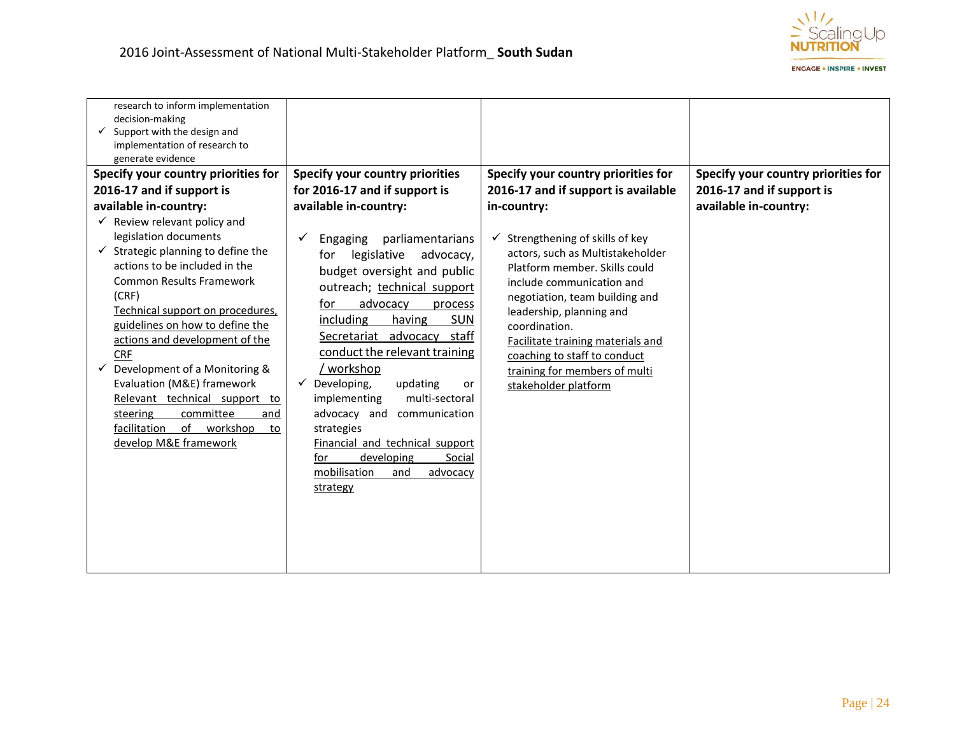

| research to inform implementation     |                                               |                                             |                                     |
|---------------------------------------|-----------------------------------------------|---------------------------------------------|-------------------------------------|
| decision-making                       |                                               |                                             |                                     |
| Support with the design and           |                                               |                                             |                                     |
| implementation of research to         |                                               |                                             |                                     |
| generate evidence                     |                                               |                                             |                                     |
| Specify your country priorities for   | <b>Specify your country priorities</b>        | Specify your country priorities for         | Specify your country priorities for |
| 2016-17 and if support is             | for 2016-17 and if support is                 | 2016-17 and if support is available         | 2016-17 and if support is           |
| available in-country:                 | available in-country:                         | in-country:                                 | available in-country:               |
| Review relevant policy and<br>✓       |                                               |                                             |                                     |
| legislation documents                 | parliamentarians<br>Engaging<br>✓             | $\checkmark$ Strengthening of skills of key |                                     |
| Strategic planning to define the<br>✓ |                                               | actors, such as Multistakeholder            |                                     |
| actions to be included in the         | legislative advocacy,<br>for                  | Platform member. Skills could               |                                     |
| <b>Common Results Framework</b>       | budget oversight and public                   |                                             |                                     |
| (CRF)                                 | outreach; technical support                   | include communication and                   |                                     |
|                                       | for<br>advocacy<br>process                    | negotiation, team building and              |                                     |
| Technical support on procedures,      | including<br><b>SUN</b><br>having             | leadership, planning and                    |                                     |
| guidelines on how to define the       | Secretariat advocacy staff                    | coordination.                               |                                     |
| actions and development of the        |                                               | Facilitate training materials and           |                                     |
| <b>CRF</b>                            | conduct the relevant training                 | coaching to staff to conduct                |                                     |
| Development of a Monitoring &         | / workshop                                    | training for members of multi               |                                     |
| Evaluation (M&E) framework            | Developing,<br>updating<br>$\checkmark$<br>or | stakeholder platform                        |                                     |
| Relevant technical support to         | implementing<br>multi-sectoral                |                                             |                                     |
| committee<br>steering<br>and          | advocacy and communication                    |                                             |                                     |
| of<br>workshop<br>facilitation<br>to  | strategies                                    |                                             |                                     |
| develop M&E framework                 | Financial and technical support               |                                             |                                     |
|                                       | Social<br>for<br>developing                   |                                             |                                     |
|                                       | mobilisation<br>and<br>advocacy               |                                             |                                     |
|                                       | strategy                                      |                                             |                                     |
|                                       |                                               |                                             |                                     |
|                                       |                                               |                                             |                                     |
|                                       |                                               |                                             |                                     |
|                                       |                                               |                                             |                                     |
|                                       |                                               |                                             |                                     |
|                                       |                                               |                                             |                                     |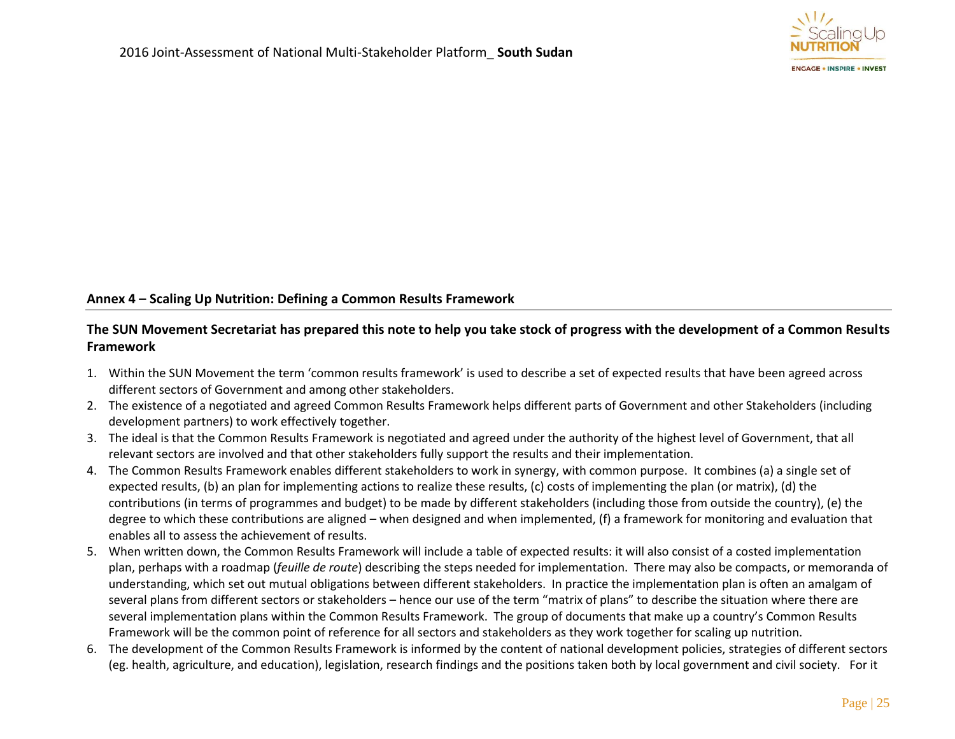

#### **Annex 4 – Scaling Up Nutrition: Defining a Common Results Framework**

### **The SUN Movement Secretariat has prepared this note to help you take stock of progress with the development of a Common Results Framework**

- 1. Within the SUN Movement the term 'common results framework' is used to describe a set of expected results that have been agreed across different sectors of Government and among other stakeholders.
- 2. The existence of a negotiated and agreed Common Results Framework helps different parts of Government and other Stakeholders (including development partners) to work effectively together.
- 3. The ideal is that the Common Results Framework is negotiated and agreed under the authority of the highest level of Government, that all relevant sectors are involved and that other stakeholders fully support the results and their implementation.
- 4. The Common Results Framework enables different stakeholders to work in synergy, with common purpose. It combines (a) a single set of expected results, (b) an plan for implementing actions to realize these results, (c) costs of implementing the plan (or matrix), (d) the contributions (in terms of programmes and budget) to be made by different stakeholders (including those from outside the country), (e) the degree to which these contributions are aligned – when designed and when implemented, (f) a framework for monitoring and evaluation that enables all to assess the achievement of results.
- 5. When written down, the Common Results Framework will include a table of expected results: it will also consist of a costed implementation plan, perhaps with a roadmap (*feuille de route*) describing the steps needed for implementation. There may also be compacts, or memoranda of understanding, which set out mutual obligations between different stakeholders. In practice the implementation plan is often an amalgam of several plans from different sectors or stakeholders – hence our use of the term "matrix of plans" to describe the situation where there are several implementation plans within the Common Results Framework. The group of documents that make up a country's Common Results Framework will be the common point of reference for all sectors and stakeholders as they work together for scaling up nutrition.
- 6. The development of the Common Results Framework is informed by the content of national development policies, strategies of different sectors (eg. health, agriculture, and education), legislation, research findings and the positions taken both by local government and civil society. For it